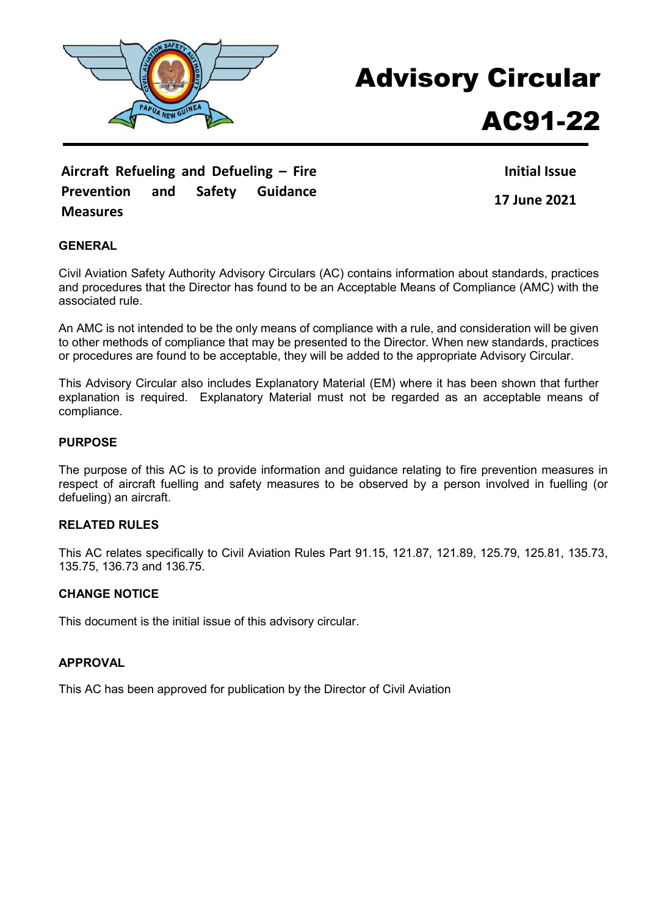

# Advisory Circular



# **Aircraft Refueling and Defueling – Fire Prevention and Safety Guidance Measures**

**Initial Issue** 

**17 June 2021**

## **GENERAL**

Civil Aviation Safety Authority Advisory Circulars (AC) contains information about standards, practices and procedures that the Director has found to be an Acceptable Means of Compliance (AMC) with the associated rule.

An AMC is not intended to be the only means of compliance with a rule, and consideration will be given to other methods of compliance that may be presented to the Director. When new standards, practices or procedures are found to be acceptable, they will be added to the appropriate Advisory Circular.

This Advisory Circular also includes Explanatory Material (EM) where it has been shown that further explanation is required. Explanatory Material must not be regarded as an acceptable means of compliance.

## **PURPOSE**

The purpose of this AC is to provide information and guidance relating to fire prevention measures in respect of aircraft fuelling and safety measures to be observed by a person involved in fuelling (or defueling) an aircraft.

#### **RELATED RULES**

This AC relates specifically to Civil Aviation Rules Part 91.15, 121.87, 121.89, 125.79, 125.81, 135.73, 135.75, 136.73 and 136.75.

#### **CHANGE NOTICE**

This document is the initial issue of this advisory circular.

#### **APPROVAL**

This AC has been approved for publication by the Director of Civil Aviation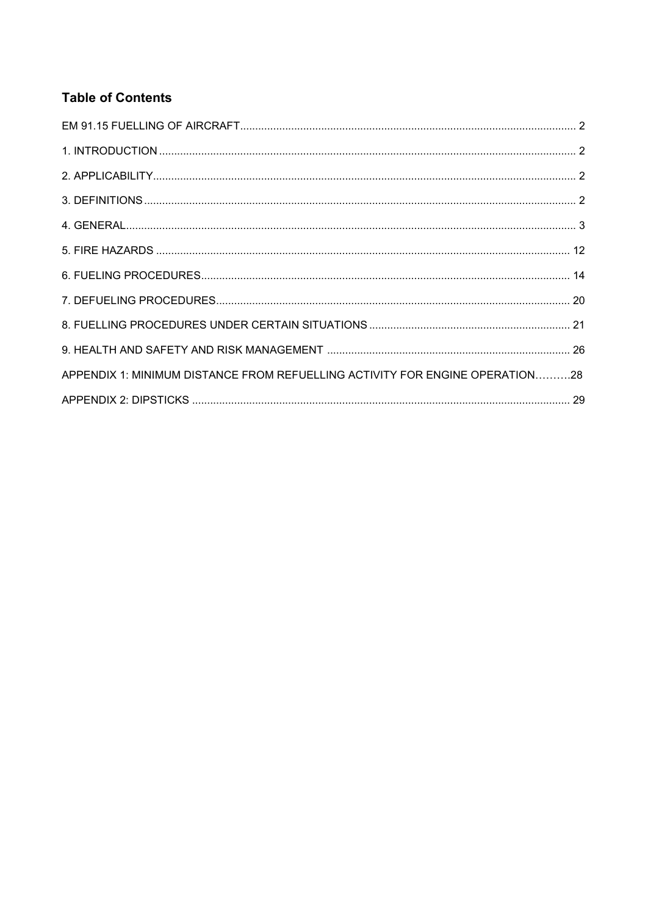# **Table of Contents**

| APPENDIX 1: MINIMUM DISTANCE FROM REFUELLING ACTIVITY FOR ENGINE OPERATION28 |  |
|------------------------------------------------------------------------------|--|
|                                                                              |  |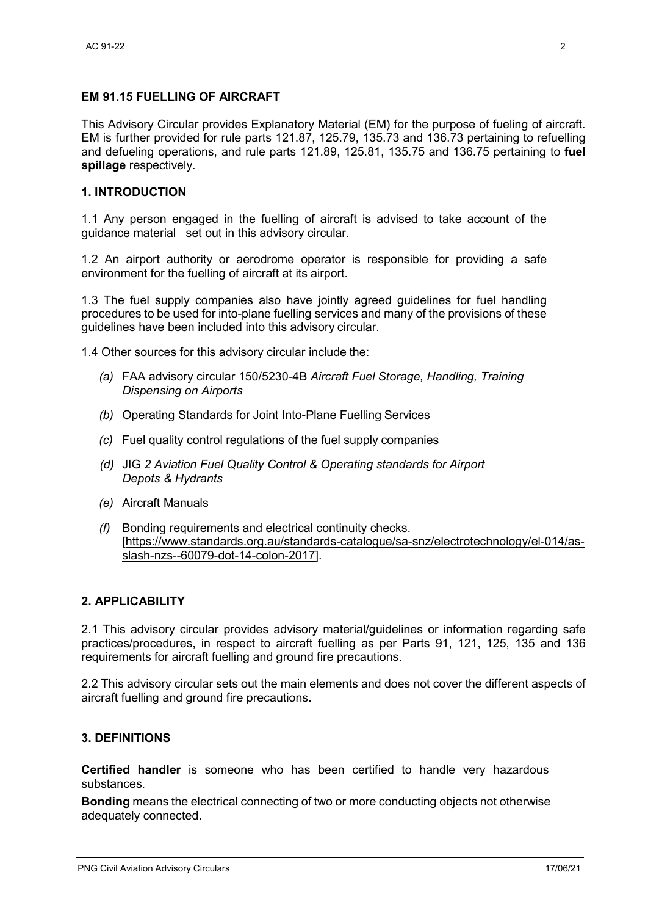#### <span id="page-2-0"></span>**EM 91.15 FUELLING OF AIRCRAFT**

This Advisory Circular provides Explanatory Material (EM) for the purpose of fueling of aircraft. EM is further provided for rule parts 121.87, 125.79, 135.73 and 136.73 pertaining to refuelling and defueling operations, and rule parts 121.89, 125.81, 135.75 and 136.75 pertaining to **fuel spillage** respectively.

## <span id="page-2-1"></span>**1. INTRODUCTION**

1.1 Any person engaged in the fuelling of aircraft is advised to take account of the guidance material set out in this advisory circular.

1.2 An airport authority or aerodrome operator is responsible for providing a safe environment for the fuelling of aircraft at its airport.

1.3 The fuel supply companies also have jointly agreed guidelines for fuel handling procedures to be used for into-plane fuelling services and many of the provisions of these guidelines have been included into this advisory circular.

1.4 Other sources for this advisory circular include the:

- *(a)* FAA advisory circular 150/5230-4B *Aircraft Fuel Storage, Handling, Training Dispensing on Airports*
- *(b)* Operating Standards for Joint Into-Plane Fuelling Services
- *(c)* Fuel quality control regulations of the fuel supply companies
- *(d)* JIG *2 Aviation Fuel Quality Control & Operating standards for Airport Depots & Hydrants*
- *(e)* Aircraft Manuals
- *(f)* Bonding requirements and electrical continuity checks. [\[https://www.standards.org.au/standards-catalogue/sa-snz/electrotechnology/el-014/as](https://www.standards.org.au/standards-catalogue/sa-snz/electrotechnology/el-014/as-slash-nzs--60079-dot-14-colon-2017)[slash-nzs--60079-dot-14-colon-2017\]](https://www.standards.org.au/standards-catalogue/sa-snz/electrotechnology/el-014/as-slash-nzs--60079-dot-14-colon-2017).

#### <span id="page-2-2"></span>**2. APPLICABILITY**

2.1 This advisory circular provides advisory material/guidelines or information regarding safe practices/procedures, in respect to aircraft fuelling as per Parts 91, 121, 125, 135 and 136 requirements for aircraft fuelling and ground fire precautions.

2.2 This advisory circular sets out the main elements and does not cover the different aspects of aircraft fuelling and ground fire precautions.

#### <span id="page-2-3"></span>**3. DEFINITIONS**

**Certified handler** is someone who has been certified to handle very hazardous substances.

**Bonding** means the electrical connecting of two or more conducting objects not otherwise adequately connected.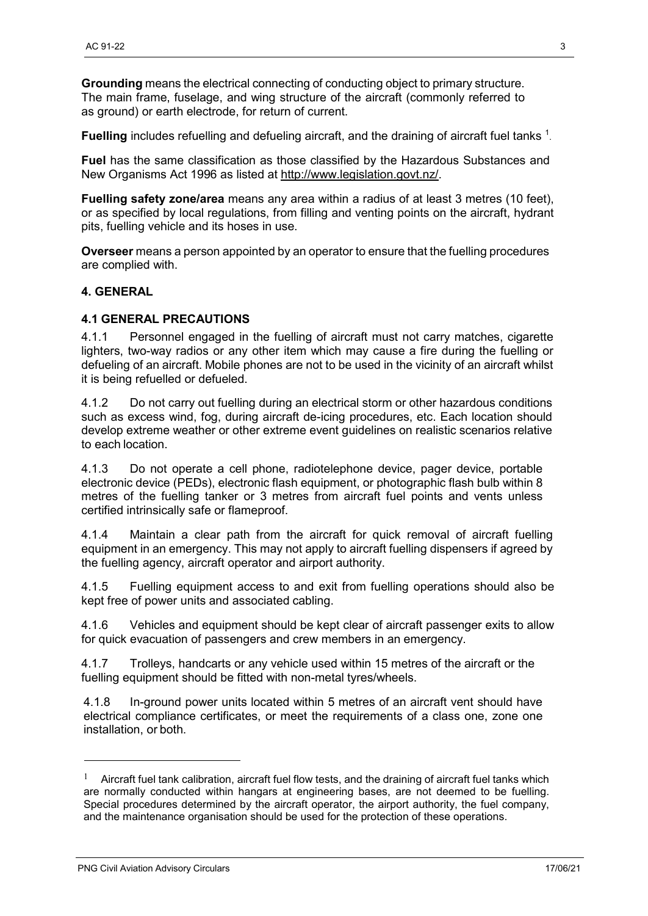**Grounding** means the electrical connecting of conducting object to primary structure. The main frame, fuselage, and wing structure of the aircraft (commonly referred to as ground) or earth electrode, for return of current.

**Fuelling** includes refuelling and defueling aircraft, and the draining of aircraft fuel tanks  $^1$ .

**Fuel** has the same classification as those classified by the Hazardous Substances and New Organisms Act 1996 as listed at [http://www.legislation.govt.nz/.](http://www.legislation.govt.nz/)

**Fuelling safety zone/area** means any area within a radius of at least 3 metres (10 feet), or as specified by local regulations, from filling and venting points on the aircraft, hydrant pits, fuelling vehicle and its hoses in use.

**Overseer** means a person appointed by an operator to ensure that the fuelling procedures are complied with.

#### <span id="page-3-0"></span>**4. GENERAL**

#### **4.1 GENERAL PRECAUTIONS**

4.1.1 Personnel engaged in the fuelling of aircraft must not carry matches, cigarette lighters, two-way radios or any other item which may cause a fire during the fuelling or defueling of an aircraft. Mobile phones are not to be used in the vicinity of an aircraft whilst it is being refuelled or defueled.

4.1.2 Do not carry out fuelling during an electrical storm or other hazardous conditions such as excess wind, fog, during aircraft de-icing procedures, etc. Each location should develop extreme weather or other extreme event guidelines on realistic scenarios relative to each location.

4.1.3 Do not operate a cell phone, radiotelephone device, pager device, portable electronic device (PEDs), electronic flash equipment, or photographic flash bulb within 8 metres of the fuelling tanker or 3 metres from aircraft fuel points and vents unless certified intrinsically safe or flameproof.

4.1.4 Maintain a clear path from the aircraft for quick removal of aircraft fuelling equipment in an emergency. This may not apply to aircraft fuelling dispensers if agreed by the fuelling agency, aircraft operator and airport authority.

4.1.5 Fuelling equipment access to and exit from fuelling operations should also be kept free of power units and associated cabling.

4.1.6 Vehicles and equipment should be kept clear of aircraft passenger exits to allow for quick evacuation of passengers and crew members in an emergency.

4.1.7 Trolleys, handcarts or any vehicle used within 15 metres of the aircraft or the fuelling equipment should be fitted with non-metal tyres/wheels.

4.1.8 In-ground power units located within 5 metres of an aircraft vent should have electrical compliance certificates, or meet the requirements of a class one, zone one installation, or both.

 $1$  Aircraft fuel tank calibration, aircraft fuel flow tests, and the draining of aircraft fuel tanks which are normally conducted within hangars at engineering bases, are not deemed to be fuelling. Special procedures determined by the aircraft operator, the airport authority, the fuel company, and the maintenance organisation should be used for the protection of these operations.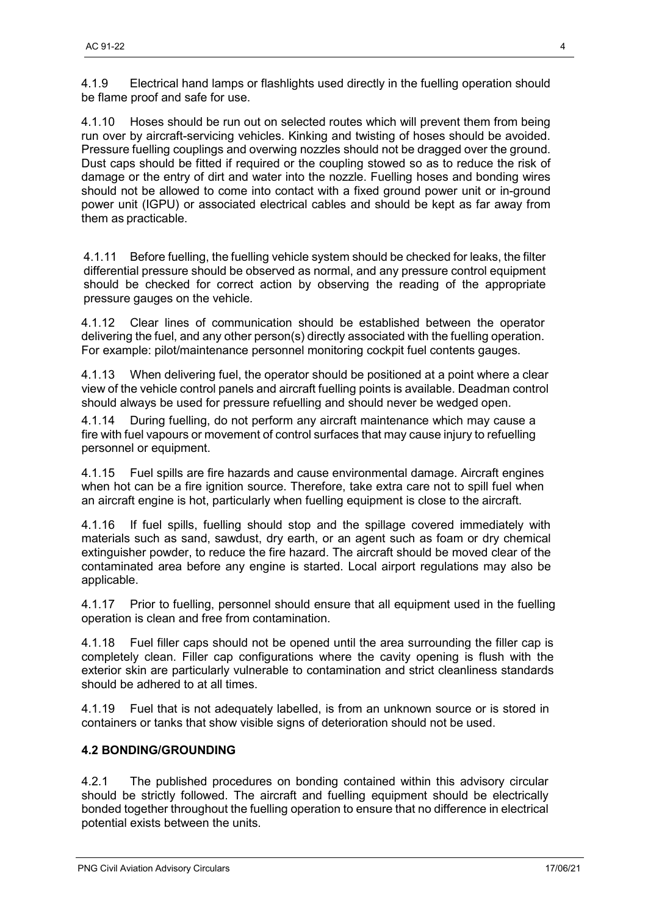4.1.9 Electrical hand lamps or flashlights used directly in the fuelling operation should be flame proof and safe for use.

4.1.10 Hoses should be run out on selected routes which will prevent them from being run over by aircraft-servicing vehicles. Kinking and twisting of hoses should be avoided. Pressure fuelling couplings and overwing nozzles should not be dragged over the ground. Dust caps should be fitted if required or the coupling stowed so as to reduce the risk of damage or the entry of dirt and water into the nozzle. Fuelling hoses and bonding wires should not be allowed to come into contact with a fixed ground power unit or in-ground power unit (IGPU) or associated electrical cables and should be kept as far away from them as practicable.

4.1.11 Before fuelling, the fuelling vehicle system should be checked for leaks, the filter differential pressure should be observed as normal, and any pressure control equipment should be checked for correct action by observing the reading of the appropriate pressure gauges on the vehicle*.*

4.1.12 Clear lines of communication should be established between the operator delivering the fuel, and any other person(s) directly associated with the fuelling operation. For example: pilot/maintenance personnel monitoring cockpit fuel contents gauges.

4.1.13 When delivering fuel, the operator should be positioned at a point where a clear view of the vehicle control panels and aircraft fuelling points is available. Deadman control should always be used for pressure refuelling and should never be wedged open.

4.1.14 During fuelling, do not perform any aircraft maintenance which may cause a fire with fuel vapours or movement of control surfaces that may cause injury to refuelling personnel or equipment.

4.1.15 Fuel spills are fire hazards and cause environmental damage. Aircraft engines when hot can be a fire ignition source. Therefore, take extra care not to spill fuel when an aircraft engine is hot, particularly when fuelling equipment is close to the aircraft.

4.1.16 If fuel spills, fuelling should stop and the spillage covered immediately with materials such as sand, sawdust, dry earth, or an agent such as foam or dry chemical extinguisher powder, to reduce the fire hazard. The aircraft should be moved clear of the contaminated area before any engine is started. Local airport regulations may also be applicable.

4.1.17 Prior to fuelling, personnel should ensure that all equipment used in the fuelling operation is clean and free from contamination.

4.1.18 Fuel filler caps should not be opened until the area surrounding the filler cap is completely clean. Filler cap configurations where the cavity opening is flush with the exterior skin are particularly vulnerable to contamination and strict cleanliness standards should be adhered to at all times.

4.1.19 Fuel that is not adequately labelled, is from an unknown source or is stored in containers or tanks that show visible signs of deterioration should not be used.

#### **4.2 BONDING/GROUNDING**

4.2.1 The published procedures on bonding contained within this advisory circular should be strictly followed. The aircraft and fuelling equipment should be electrically bonded together throughout the fuelling operation to ensure that no difference in electrical potential exists between the units.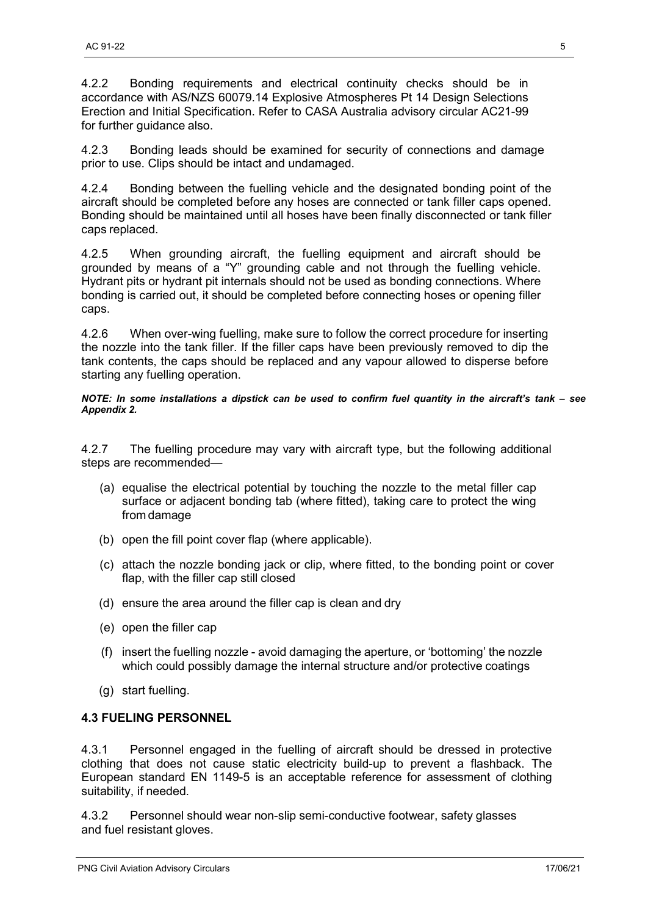4.2.2 Bonding requirements and electrical continuity checks should be in accordance with AS/NZS 60079.14 Explosive Atmospheres Pt 14 Design Selections Erection and Initial Specification. Refer to CASA Australia advisory circular AC21-99 for further guidance also.

4.2.3 Bonding leads should be examined for security of connections and damage prior to use. Clips should be intact and undamaged.

4.2.4 Bonding between the fuelling vehicle and the designated bonding point of the aircraft should be completed before any hoses are connected or tank filler caps opened. Bonding should be maintained until all hoses have been finally disconnected or tank filler caps replaced.

4.2.5 When grounding aircraft, the fuelling equipment and aircraft should be grounded by means of a "Y" grounding cable and not through the fuelling vehicle. Hydrant pits or hydrant pit internals should not be used as bonding connections. Where bonding is carried out, it should be completed before connecting hoses or opening filler caps.

4.2.6 When over-wing fuelling, make sure to follow the correct procedure for inserting the nozzle into the tank filler. If the filler caps have been previously removed to dip the tank contents, the caps should be replaced and any vapour allowed to disperse before starting any fuelling operation.

*NOTE: In some installations a dipstick can be used to confirm fuel quantity in the aircraft's tank – see Appendix 2.*

4.2.7 The fuelling procedure may vary with aircraft type, but the following additional steps are recommended—

- (a) equalise the electrical potential by touching the nozzle to the metal filler cap surface or adjacent bonding tab (where fitted), taking care to protect the wing from damage
- (b) open the fill point cover flap (where applicable).
- (c) attach the nozzle bonding jack or clip, where fitted, to the bonding point or cover flap, with the filler cap still closed
- (d) ensure the area around the filler cap is clean and dry
- (e) open the filler cap
- (f) insert the fuelling nozzle avoid damaging the aperture, or 'bottoming' the nozzle which could possibly damage the internal structure and/or protective coatings
- (g) start fuelling.

#### **4.3 FUELING PERSONNEL**

4.3.1 Personnel engaged in the fuelling of aircraft should be dressed in protective clothing that does not cause static electricity build-up to prevent a flashback. The European standard EN 1149-5 is an acceptable reference for assessment of clothing suitability, if needed.

4.3.2 Personnel should wear non-slip semi-conductive footwear, safety glasses and fuel resistant gloves.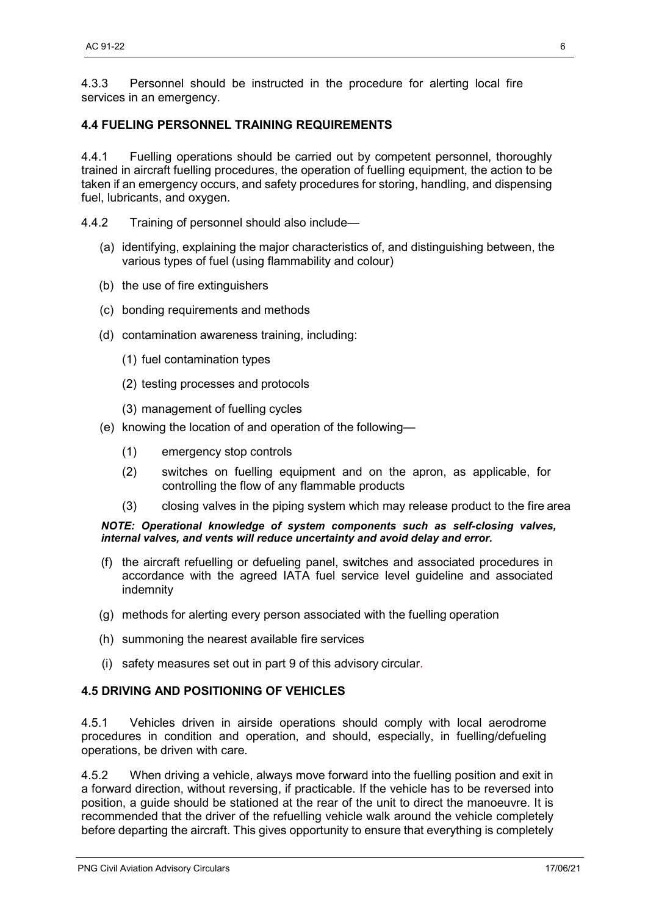4.3.3 Personnel should be instructed in the procedure for alerting local fire services in an emergency.

#### **4.4 FUELING PERSONNEL TRAINING REQUIREMENTS**

4.4.1 Fuelling operations should be carried out by competent personnel, thoroughly trained in aircraft fuelling procedures, the operation of fuelling equipment, the action to be taken if an emergency occurs, and safety procedures for storing, handling, and dispensing fuel, lubricants, and oxygen.

- 4.4.2 Training of personnel should also include—
	- (a) identifying, explaining the major characteristics of, and distinguishing between, the various types of fuel (using flammability and colour)
	- (b) the use of fire extinguishers
	- (c) bonding requirements and methods
	- (d) contamination awareness training, including:
		- (1) fuel contamination types
		- (2) testing processes and protocols
		- (3) management of fuelling cycles
	- (e) knowing the location of and operation of the following—
		- (1) emergency stop controls
		- (2) switches on fuelling equipment and on the apron, as applicable, for controlling the flow of any flammable products
		- (3) closing valves in the piping system which may release product to the fire area

#### *NOTE: Operational knowledge of system components such as self-closing valves, internal valves, and vents will reduce uncertainty and avoid delay and error.*

- (f) the aircraft refuelling or defueling panel, switches and associated procedures in accordance with the agreed IATA fuel service level guideline and associated indemnity
- (g) methods for alerting every person associated with the fuelling operation
- (h) summoning the nearest available fire services
- (i) safety measures set out in part 9 of this advisory circular.

#### **4.5 DRIVING AND POSITIONING OF VEHICLES**

4.5.1 Vehicles driven in airside operations should comply with local aerodrome procedures in condition and operation, and should, especially, in fuelling/defueling operations, be driven with care.

4.5.2 When driving a vehicle, always move forward into the fuelling position and exit in a forward direction, without reversing, if practicable. If the vehicle has to be reversed into position, a guide should be stationed at the rear of the unit to direct the manoeuvre. It is recommended that the driver of the refuelling vehicle walk around the vehicle completely before departing the aircraft. This gives opportunity to ensure that everything is completely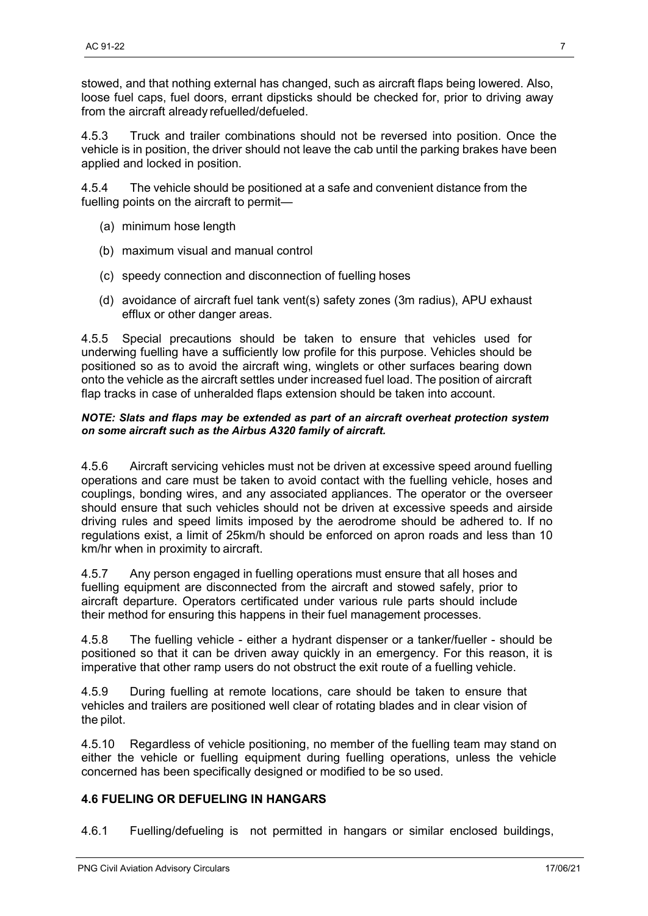stowed, and that nothing external has changed, such as aircraft flaps being lowered. Also, loose fuel caps, fuel doors, errant dipsticks should be checked for, prior to driving away from the aircraft already refuelled/defueled.

4.5.3 Truck and trailer combinations should not be reversed into position. Once the vehicle is in position, the driver should not leave the cab until the parking brakes have been applied and locked in position.

4.5.4 The vehicle should be positioned at a safe and convenient distance from the fuelling points on the aircraft to permit—

- (a) minimum hose length
- (b) maximum visual and manual control
- (c) speedy connection and disconnection of fuelling hoses
- (d) avoidance of aircraft fuel tank vent(s) safety zones (3m radius), APU exhaust efflux or other danger areas.

4.5.5 Special precautions should be taken to ensure that vehicles used for underwing fuelling have a sufficiently low profile for this purpose. Vehicles should be positioned so as to avoid the aircraft wing, winglets or other surfaces bearing down onto the vehicle as the aircraft settles under increased fuel load. The position of aircraft flap tracks in case of unheralded flaps extension should be taken into account.

#### *NOTE: Slats and flaps may be extended as part of an aircraft overheat protection system on some aircraft such as the Airbus A320 family of aircraft.*

4.5.6 Aircraft servicing vehicles must not be driven at excessive speed around fuelling operations and care must be taken to avoid contact with the fuelling vehicle, hoses and couplings, bonding wires, and any associated appliances. The operator or the overseer should ensure that such vehicles should not be driven at excessive speeds and airside driving rules and speed limits imposed by the aerodrome should be adhered to. If no regulations exist, a limit of 25km/h should be enforced on apron roads and less than 10 km/hr when in proximity to aircraft.

4.5.7 Any person engaged in fuelling operations must ensure that all hoses and fuelling equipment are disconnected from the aircraft and stowed safely, prior to aircraft departure. Operators certificated under various rule parts should include their method for ensuring this happens in their fuel management processes.

4.5.8 The fuelling vehicle - either a hydrant dispenser or a tanker/fueller - should be positioned so that it can be driven away quickly in an emergency. For this reason, it is imperative that other ramp users do not obstruct the exit route of a fuelling vehicle.

4.5.9 During fuelling at remote locations, care should be taken to ensure that vehicles and trailers are positioned well clear of rotating blades and in clear vision of the pilot.

4.5.10 Regardless of vehicle positioning, no member of the fuelling team may stand on either the vehicle or fuelling equipment during fuelling operations, unless the vehicle concerned has been specifically designed or modified to be so used.

## **4.6 FUELING OR DEFUELING IN HANGARS**

4.6.1 Fuelling/defueling is not permitted in hangars or similar enclosed buildings,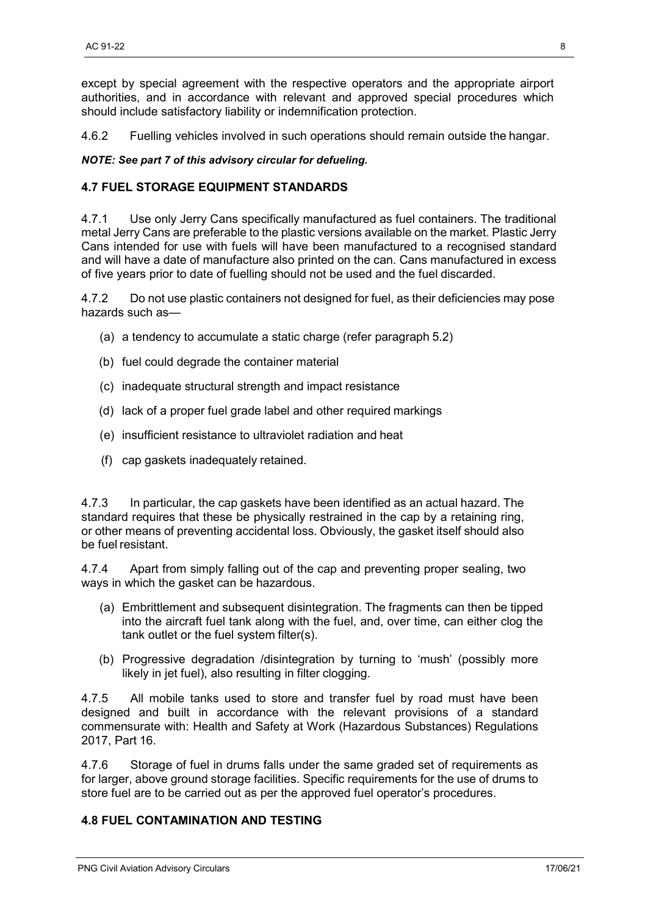except by special agreement with the respective operators and the appropriate airport authorities, and in accordance with relevant and approved special procedures which should include satisfactory liability or indemnification protection.

4.6.2 Fuelling vehicles involved in such operations should remain outside the hangar.

#### *NOTE: See part 7 of this advisory circular for defueling.*

#### **4.7 FUEL STORAGE EQUIPMENT STANDARDS**

4.7.1 Use only Jerry Cans specifically manufactured as fuel containers. The traditional metal Jerry Cans are preferable to the plastic versions available on the market. Plastic Jerry Cans intended for use with fuels will have been manufactured to a recognised standard and will have a date of manufacture also printed on the can. Cans manufactured in excess of five years prior to date of fuelling should not be used and the fuel discarded.

4.7.2 Do not use plastic containers not designed for fuel, as their deficiencies may pose hazards such as—

- (a) a tendency to accumulate a static charge (refer paragraph 5.2)
- (b) fuel could degrade the container material
- (c) inadequate structural strength and impact resistance
- (d) lack of a proper fuel grade label and other required markings
- (e) insufficient resistance to ultraviolet radiation and heat
- (f) cap gaskets inadequately retained.

4.7.3 In particular, the cap gaskets have been identified as an actual hazard. The standard requires that these be physically restrained in the cap by a retaining ring, or other means of preventing accidental loss. Obviously, the gasket itself should also be fuel resistant.

4.7.4 Apart from simply falling out of the cap and preventing proper sealing, two ways in which the gasket can be hazardous.

- (a) Embrittlement and subsequent disintegration. The fragments can then be tipped into the aircraft fuel tank along with the fuel, and, over time, can either clog the tank outlet or the fuel system filter(s).
- (b) Progressive degradation /disintegration by turning to 'mush' (possibly more likely in jet fuel), also resulting in filter clogging.

4.7.5 All mobile tanks used to store and transfer fuel by road must have been designed and built in accordance with the relevant provisions of a standard commensurate with: Health and Safety at Work (Hazardous Substances) Regulations 2017, Part 16.

4.7.6 Storage of fuel in drums falls under the same graded set of requirements as for larger, above ground storage facilities. Specific requirements for the use of drums to store fuel are to be carried out as per the approved fuel operator's procedures.

## **4.8 FUEL CONTAMINATION AND TESTING**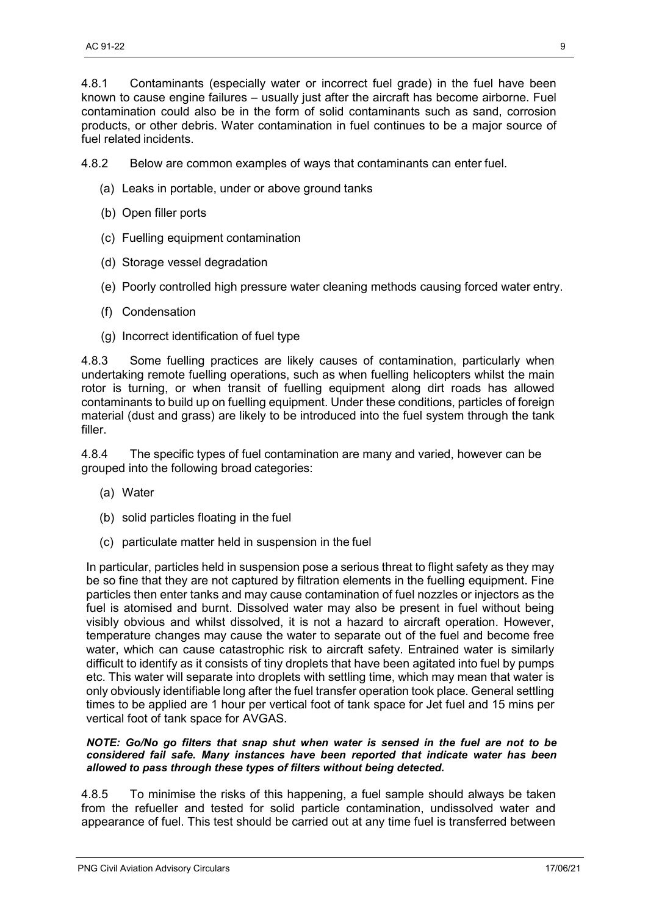4.8.1 Contaminants (especially water or incorrect fuel grade) in the fuel have been known to cause engine failures – usually just after the aircraft has become airborne. Fuel contamination could also be in the form of solid contaminants such as sand, corrosion products, or other debris. Water contamination in fuel continues to be a major source of fuel related incidents.

4.8.2 Below are common examples of ways that contaminants can enter fuel.

- (a) Leaks in portable, under or above ground tanks
- (b) Open filler ports
- (c) Fuelling equipment contamination
- (d) Storage vessel degradation
- (e) Poorly controlled high pressure water cleaning methods causing forced water entry.
- (f) Condensation
- (g) Incorrect identification of fuel type

4.8.3 Some fuelling practices are likely causes of contamination, particularly when undertaking remote fuelling operations, such as when fuelling helicopters whilst the main rotor is turning, or when transit of fuelling equipment along dirt roads has allowed contaminants to build up on fuelling equipment. Under these conditions, particles of foreign material (dust and grass) are likely to be introduced into the fuel system through the tank filler.

4.8.4 The specific types of fuel contamination are many and varied, however can be grouped into the following broad categories:

- (a) Water
- (b) solid particles floating in the fuel
- (c) particulate matter held in suspension in the fuel

In particular, particles held in suspension pose a serious threat to flight safety as they may be so fine that they are not captured by filtration elements in the fuelling equipment. Fine particles then enter tanks and may cause contamination of fuel nozzles or injectors as the fuel is atomised and burnt. Dissolved water may also be present in fuel without being visibly obvious and whilst dissolved, it is not a hazard to aircraft operation. However, temperature changes may cause the water to separate out of the fuel and become free water, which can cause catastrophic risk to aircraft safety. Entrained water is similarly difficult to identify as it consists of tiny droplets that have been agitated into fuel by pumps etc. This water will separate into droplets with settling time, which may mean that water is only obviously identifiable long after the fuel transfer operation took place. General settling times to be applied are 1 hour per vertical foot of tank space for Jet fuel and 15 mins per vertical foot of tank space for AVGAS.

#### *NOTE: Go/No go filters that snap shut when water is sensed in the fuel are not to be considered fail safe. Many instances have been reported that indicate water has been allowed to pass through these types of filters without being detected.*

4.8.5 To minimise the risks of this happening, a fuel sample should always be taken from the refueller and tested for solid particle contamination, undissolved water and appearance of fuel. This test should be carried out at any time fuel is transferred between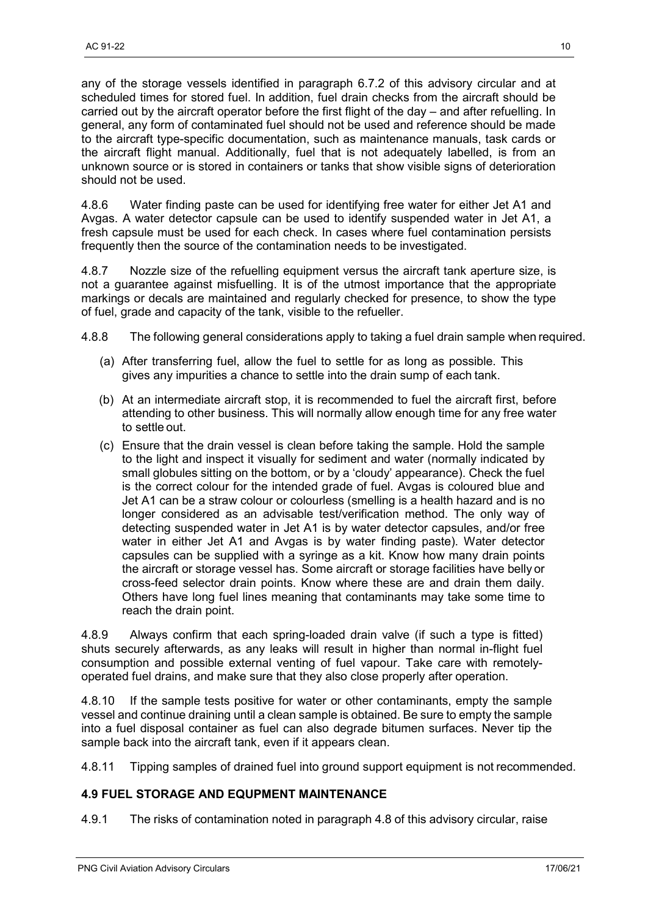any of the storage vessels identified in paragraph 6.7.2 of this advisory circular and at scheduled times for stored fuel. In addition, fuel drain checks from the aircraft should be carried out by the aircraft operator before the first flight of the day – and after refuelling. In general, any form of contaminated fuel should not be used and reference should be made to the aircraft type-specific documentation, such as maintenance manuals, task cards or the aircraft flight manual. Additionally, fuel that is not adequately labelled, is from an unknown source or is stored in containers or tanks that show visible signs of deterioration should not be used.

4.8.6 Water finding paste can be used for identifying free water for either Jet A1 and Avgas. A water detector capsule can be used to identify suspended water in Jet A1, a fresh capsule must be used for each check. In cases where fuel contamination persists frequently then the source of the contamination needs to be investigated.

4.8.7 Nozzle size of the refuelling equipment versus the aircraft tank aperture size, is not a guarantee against misfuelling. It is of the utmost importance that the appropriate markings or decals are maintained and regularly checked for presence, to show the type of fuel, grade and capacity of the tank, visible to the refueller.

- 4.8.8 The following general considerations apply to taking a fuel drain sample when required.
	- (a) After transferring fuel, allow the fuel to settle for as long as possible. This gives any impurities a chance to settle into the drain sump of each tank.
	- (b) At an intermediate aircraft stop, it is recommended to fuel the aircraft first, before attending to other business. This will normally allow enough time for any free water to settle out.
	- (c) Ensure that the drain vessel is clean before taking the sample. Hold the sample to the light and inspect it visually for sediment and water (normally indicated by small globules sitting on the bottom, or by a 'cloudy' appearance). Check the fuel is the correct colour for the intended grade of fuel. Avgas is coloured blue and Jet A1 can be a straw colour or colourless (smelling is a health hazard and is no longer considered as an advisable test/verification method. The only way of detecting suspended water in Jet A1 is by water detector capsules, and/or free water in either Jet A1 and Avgas is by water finding paste). Water detector capsules can be supplied with a syringe as a kit. Know how many drain points the aircraft or storage vessel has. Some aircraft or storage facilities have belly or cross-feed selector drain points. Know where these are and drain them daily. Others have long fuel lines meaning that contaminants may take some time to reach the drain point.

4.8.9 Always confirm that each spring-loaded drain valve (if such a type is fitted) shuts securely afterwards, as any leaks will result in higher than normal in-flight fuel consumption and possible external venting of fuel vapour. Take care with remotelyoperated fuel drains, and make sure that they also close properly after operation.

4.8.10 If the sample tests positive for water or other contaminants, empty the sample vessel and continue draining until a clean sample is obtained. Be sure to empty the sample into a fuel disposal container as fuel can also degrade bitumen surfaces. Never tip the sample back into the aircraft tank, even if it appears clean.

4.8.11 Tipping samples of drained fuel into ground support equipment is not recommended.

#### **4.9 FUEL STORAGE AND EQUPMENT MAINTENANCE**

4.9.1 The risks of contamination noted in paragraph 4.8 of this advisory circular, raise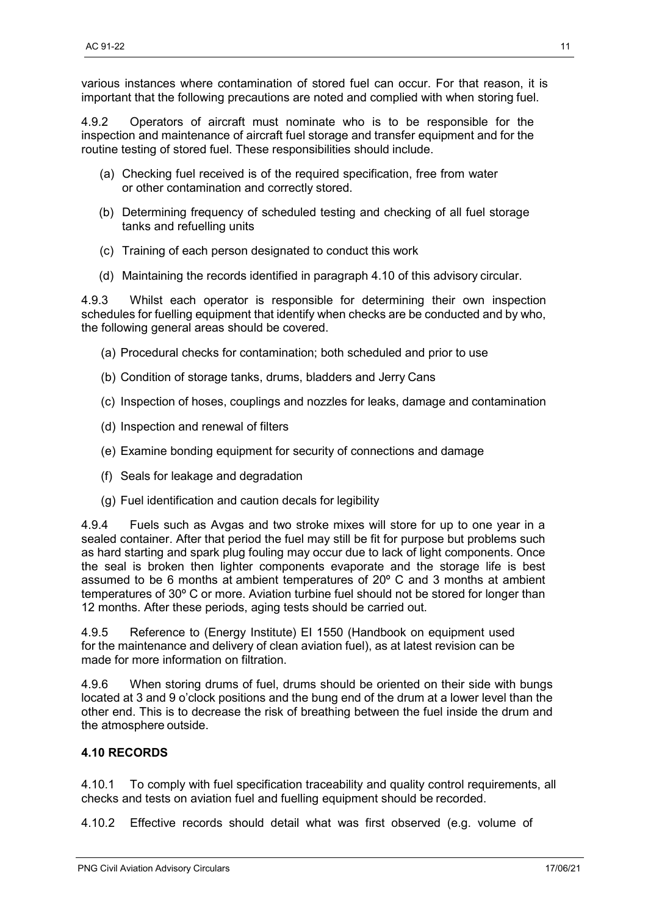various instances where contamination of stored fuel can occur. For that reason, it is important that the following precautions are noted and complied with when storing fuel.

4.9.2 Operators of aircraft must nominate who is to be responsible for the inspection and maintenance of aircraft fuel storage and transfer equipment and for the routine testing of stored fuel. These responsibilities should include.

- (a) Checking fuel received is of the required specification, free from water or other contamination and correctly stored.
- (b) Determining frequency of scheduled testing and checking of all fuel storage tanks and refuelling units
- (c) Training of each person designated to conduct this work
- (d) Maintaining the records identified in paragraph 4.10 of this advisory circular.

4.9.3 Whilst each operator is responsible for determining their own inspection schedules for fuelling equipment that identify when checks are be conducted and by who, the following general areas should be covered.

- (a) Procedural checks for contamination; both scheduled and prior to use
- (b) Condition of storage tanks, drums, bladders and Jerry Cans
- (c) Inspection of hoses, couplings and nozzles for leaks, damage and contamination
- (d) Inspection and renewal of filters
- (e) Examine bonding equipment for security of connections and damage
- (f) Seals for leakage and degradation
- (g) Fuel identification and caution decals for legibility

4.9.4 Fuels such as Avgas and two stroke mixes will store for up to one year in a sealed container. After that period the fuel may still be fit for purpose but problems such as hard starting and spark plug fouling may occur due to lack of light components. Once the seal is broken then lighter components evaporate and the storage life is best assumed to be 6 months at ambient temperatures of 20º C and 3 months at ambient temperatures of 30º C or more. Aviation turbine fuel should not be stored for longer than 12 months. After these periods, aging tests should be carried out.

4.9.5 Reference to (Energy Institute) EI 1550 (Handbook on equipment used for the maintenance and delivery of clean aviation fuel), as at latest revision can be made for more information on filtration.

4.9.6 When storing drums of fuel, drums should be oriented on their side with bungs located at 3 and 9 o'clock positions and the bung end of the drum at a lower level than the other end. This is to decrease the risk of breathing between the fuel inside the drum and the atmosphere outside.

#### **4.10 RECORDS**

4.10.1 To comply with fuel specification traceability and quality control requirements, all checks and tests on aviation fuel and fuelling equipment should be recorded.

4.10.2 Effective records should detail what was first observed (e.g. volume of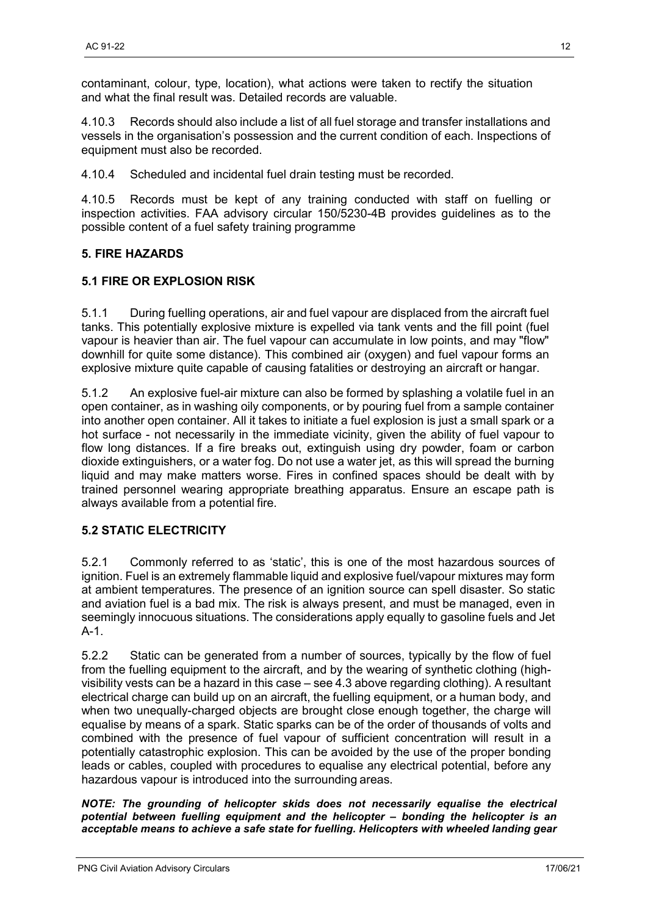contaminant, colour, type, location), what actions were taken to rectify the situation and what the final result was. Detailed records are valuable.

4.10.3 Records should also include a list of all fuel storage and transfer installations and vessels in the organisation's possession and the current condition of each. Inspections of equipment must also be recorded.

4.10.4 Scheduled and incidental fuel drain testing must be recorded.

4.10.5 Records must be kept of any training conducted with staff on fuelling or inspection activities. FAA advisory circular 150/5230-4B provides guidelines as to the possible content of a fuel safety training programme

## <span id="page-12-0"></span>**5. FIRE HAZARDS**

## **5.1 FIRE OR EXPLOSION RISK**

5.1.1 During fuelling operations, air and fuel vapour are displaced from the aircraft fuel tanks. This potentially explosive mixture is expelled via tank vents and the fill point (fuel vapour is heavier than air. The fuel vapour can accumulate in low points, and may "flow" downhill for quite some distance). This combined air (oxygen) and fuel vapour forms an explosive mixture quite capable of causing fatalities or destroying an aircraft or hangar.

5.1.2 An explosive fuel-air mixture can also be formed by splashing a volatile fuel in an open container, as in washing oily components, or by pouring fuel from a sample container into another open container. All it takes to initiate a fuel explosion is just a small spark or a hot surface - not necessarily in the immediate vicinity, given the ability of fuel vapour to flow long distances. If a fire breaks out, extinguish using dry powder, foam or carbon dioxide extinguishers, or a water fog. Do not use a water jet, as this will spread the burning liquid and may make matters worse. Fires in confined spaces should be dealt with by trained personnel wearing appropriate breathing apparatus. Ensure an escape path is always available from a potential fire.

## **5.2 STATIC ELECTRICITY**

5.2.1 Commonly referred to as 'static', this is one of the most hazardous sources of ignition. Fuel is an extremely flammable liquid and explosive fuel/vapour mixtures may form at ambient temperatures. The presence of an ignition source can spell disaster. So static and aviation fuel is a bad mix. The risk is always present, and must be managed, even in seemingly innocuous situations. The considerations apply equally to gasoline fuels and Jet A-1.

5.2.2 Static can be generated from a number of sources, typically by the flow of fuel from the fuelling equipment to the aircraft, and by the wearing of synthetic clothing (highvisibility vests can be a hazard in this case – see 4.3 above regarding clothing). A resultant electrical charge can build up on an aircraft, the fuelling equipment, or a human body, and when two unequally-charged objects are brought close enough together, the charge will equalise by means of a spark. Static sparks can be of the order of thousands of volts and combined with the presence of fuel vapour of sufficient concentration will result in a potentially catastrophic explosion. This can be avoided by the use of the proper bonding leads or cables, coupled with procedures to equalise any electrical potential, before any hazardous vapour is introduced into the surrounding areas.

*NOTE: The grounding of helicopter skids does not necessarily equalise the electrical potential between fuelling equipment and the helicopter – bonding the helicopter is an acceptable means to achieve a safe state for fuelling. Helicopters with wheeled landing gear*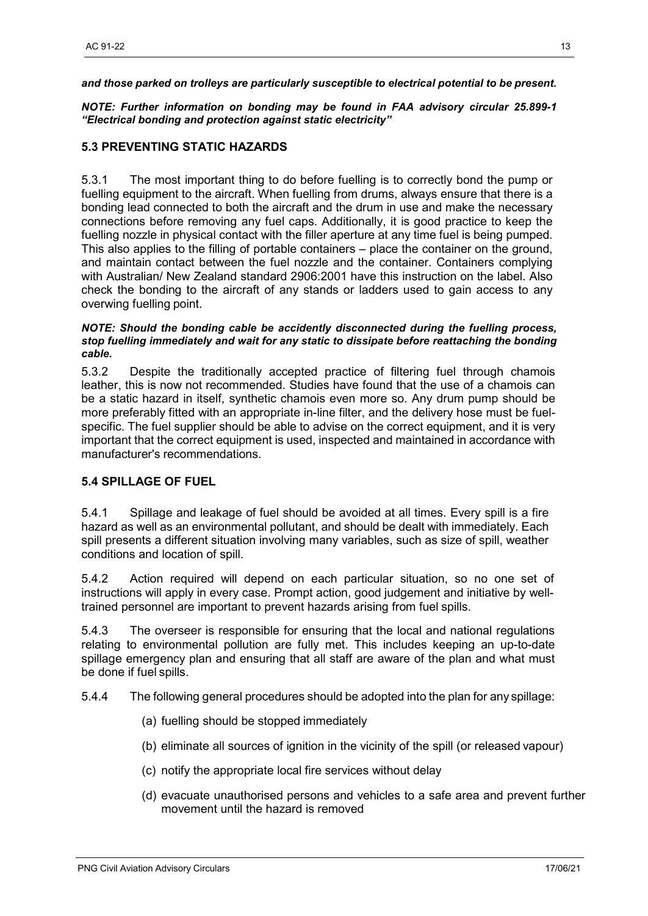*and those parked on trolleys are particularly susceptible to electrical potential to be present.*

*NOTE: Further information on bonding may be found in FAA advisory circular 25.899-1 "Electrical bonding and protection against static electricity"*

## **5.3 PREVENTING STATIC HAZARDS**

5.3.1 The most important thing to do before fuelling is to correctly bond the pump or fuelling equipment to the aircraft. When fuelling from drums, always ensure that there is a bonding lead connected to both the aircraft and the drum in use and make the necessary connections before removing any fuel caps. Additionally, it is good practice to keep the fuelling nozzle in physical contact with the filler aperture at any time fuel is being pumped. This also applies to the filling of portable containers – place the container on the ground, and maintain contact between the fuel nozzle and the container. Containers complying with Australian/ New Zealand standard 2906:2001 have this instruction on the label. Also check the bonding to the aircraft of any stands or ladders used to gain access to any overwing fuelling point.

#### *NOTE: Should the bonding cable be accidently disconnected during the fuelling process, stop fuelling immediately and wait for any static to dissipate before reattaching the bonding cable.*

5.3.2 Despite the traditionally accepted practice of filtering fuel through chamois leather, this is now not recommended. Studies have found that the use of a chamois can be a static hazard in itself, synthetic chamois even more so. Any drum pump should be more preferably fitted with an appropriate in-line filter, and the delivery hose must be fuelspecific. The fuel supplier should be able to advise on the correct equipment, and it is very important that the correct equipment is used, inspected and maintained in accordance with manufacturer's recommendations.

#### **5.4 SPILLAGE OF FUEL**

5.4.1 Spillage and leakage of fuel should be avoided at all times. Every spill is a fire hazard as well as an environmental pollutant, and should be dealt with immediately. Each spill presents a different situation involving many variables, such as size of spill, weather conditions and location of spill.

5.4.2 Action required will depend on each particular situation, so no one set of instructions will apply in every case. Prompt action, good judgement and initiative by welltrained personnel are important to prevent hazards arising from fuel spills.

5.4.3 The overseer is responsible for ensuring that the local and national regulations relating to environmental pollution are fully met. This includes keeping an up-to-date spillage emergency plan and ensuring that all staff are aware of the plan and what must be done if fuel spills.

5.4.4 The following general procedures should be adopted into the plan for any spillage:

- (a) fuelling should be stopped immediately
- (b) eliminate all sources of ignition in the vicinity of the spill (or released vapour)
- (c) notify the appropriate local fire services without delay
- (d) evacuate unauthorised persons and vehicles to a safe area and prevent further movement until the hazard is removed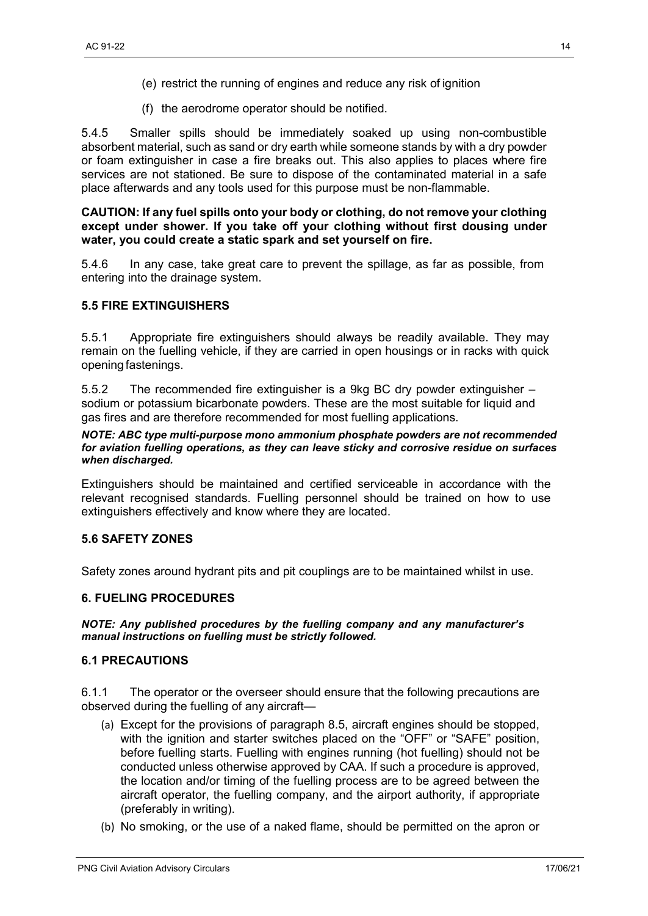- (e) restrict the running of engines and reduce any risk of ignition
- (f) the aerodrome operator should be notified.

5.4.5 Smaller spills should be immediately soaked up using non-combustible absorbent material, such as sand or dry earth while someone stands by with a dry powder or foam extinguisher in case a fire breaks out. This also applies to places where fire services are not stationed. Be sure to dispose of the contaminated material in a safe place afterwards and any tools used for this purpose must be non-flammable.

#### **CAUTION: If any fuel spills onto your body or clothing, do not remove your clothing except under shower. If you take off your clothing without first dousing under water, you could create a static spark and set yourself on fire.**

5.4.6 In any case, take great care to prevent the spillage, as far as possible, from entering into the drainage system.

## **5.5 FIRE EXTINGUISHERS**

5.5.1 Appropriate fire extinguishers should always be readily available. They may remain on the fuelling vehicle, if they are carried in open housings or in racks with quick opening fastenings.

5.5.2 The recommended fire extinguisher is a 9kg BC dry powder extinguisher – sodium or potassium bicarbonate powders. These are the most suitable for liquid and gas fires and are therefore recommended for most fuelling applications.

*NOTE: ABC type multi-purpose mono ammonium phosphate powders are not recommended for aviation fuelling operations, as they can leave sticky and corrosive residue on surfaces when discharged.*

Extinguishers should be maintained and certified serviceable in accordance with the relevant recognised standards. Fuelling personnel should be trained on how to use extinguishers effectively and know where they are located.

#### **5.6 SAFETY ZONES**

Safety zones around hydrant pits and pit couplings are to be maintained whilst in use.

#### <span id="page-14-0"></span>**6. FUELING PROCEDURES**

*NOTE: Any published procedures by the fuelling company and any manufacturer's manual instructions on fuelling must be strictly followed.*

## **6.1 PRECAUTIONS**

6.1.1 The operator or the overseer should ensure that the following precautions are observed during the fuelling of any aircraft—

- (a) Except for the provisions of paragraph 8.5, aircraft engines should be stopped, with the ignition and starter switches placed on the "OFF" or "SAFE" position, before fuelling starts. Fuelling with engines running (hot fuelling) should not be conducted unless otherwise approved by CAA. If such a procedure is approved, the location and/or timing of the fuelling process are to be agreed between the aircraft operator, the fuelling company, and the airport authority, if appropriate (preferably in writing).
- (b) No smoking, or the use of a naked flame, should be permitted on the apron or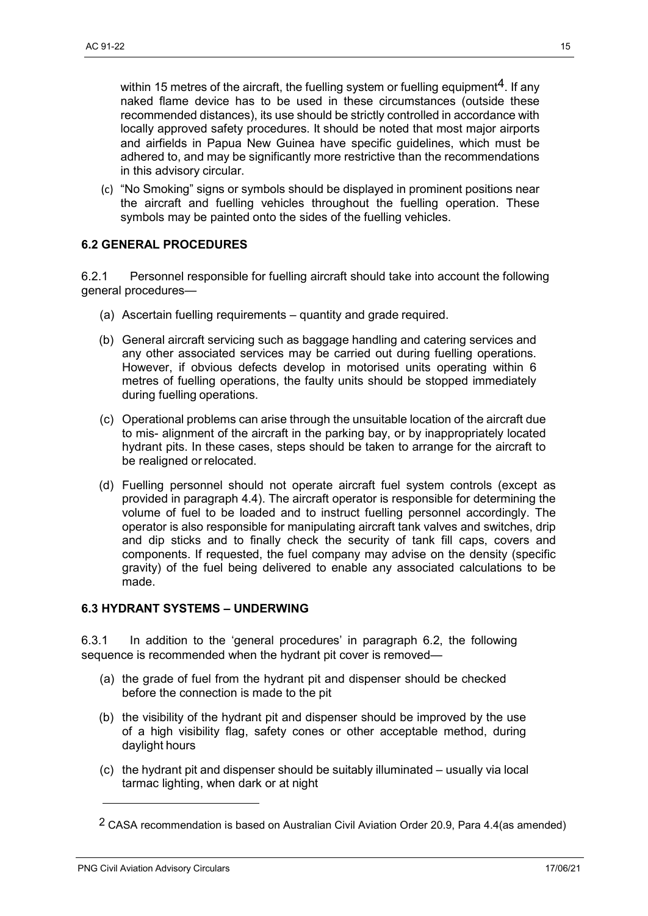within 15 metres of the aircraft, the fuelling system or fuelling equipment<sup>4</sup>. If any naked flame device has to be used in these circumstances (outside these recommended distances), its use should be strictly controlled in accordance with locally approved safety procedures. It should be noted that most major airports and airfields in Papua New Guinea have specific guidelines, which must be adhered to, and may be significantly more restrictive than the recommendations in this advisory circular.

(c) "No Smoking" signs or symbols should be displayed in prominent positions near the aircraft and fuelling vehicles throughout the fuelling operation. These symbols may be painted onto the sides of the fuelling vehicles.

## **6.2 GENERAL PROCEDURES**

6.2.1 Personnel responsible for fuelling aircraft should take into account the following general procedures—

- (a) Ascertain fuelling requirements quantity and grade required.
- (b) General aircraft servicing such as baggage handling and catering services and any other associated services may be carried out during fuelling operations. However, if obvious defects develop in motorised units operating within 6 metres of fuelling operations, the faulty units should be stopped immediately during fuelling operations.
- (c) Operational problems can arise through the unsuitable location of the aircraft due to mis- alignment of the aircraft in the parking bay, or by inappropriately located hydrant pits. In these cases, steps should be taken to arrange for the aircraft to be realigned or relocated.
- (d) Fuelling personnel should not operate aircraft fuel system controls (except as provided in paragraph 4.4). The aircraft operator is responsible for determining the volume of fuel to be loaded and to instruct fuelling personnel accordingly. The operator is also responsible for manipulating aircraft tank valves and switches, drip and dip sticks and to finally check the security of tank fill caps, covers and components. If requested, the fuel company may advise on the density (specific gravity) of the fuel being delivered to enable any associated calculations to be made.

#### **6.3 HYDRANT SYSTEMS – UNDERWING**

6.3.1 In addition to the 'general procedures' in paragraph 6.2, the following sequence is recommended when the hydrant pit cover is removed—

- (a) the grade of fuel from the hydrant pit and dispenser should be checked before the connection is made to the pit
- (b) the visibility of the hydrant pit and dispenser should be improved by the use of a high visibility flag, safety cones or other acceptable method, during daylight hours
- (c) the hydrant pit and dispenser should be suitably illuminated usually via local tarmac lighting, when dark or at night

 $2$  CASA recommendation is based on Australian Civil Aviation Order 20.9, Para 4.4(as amended)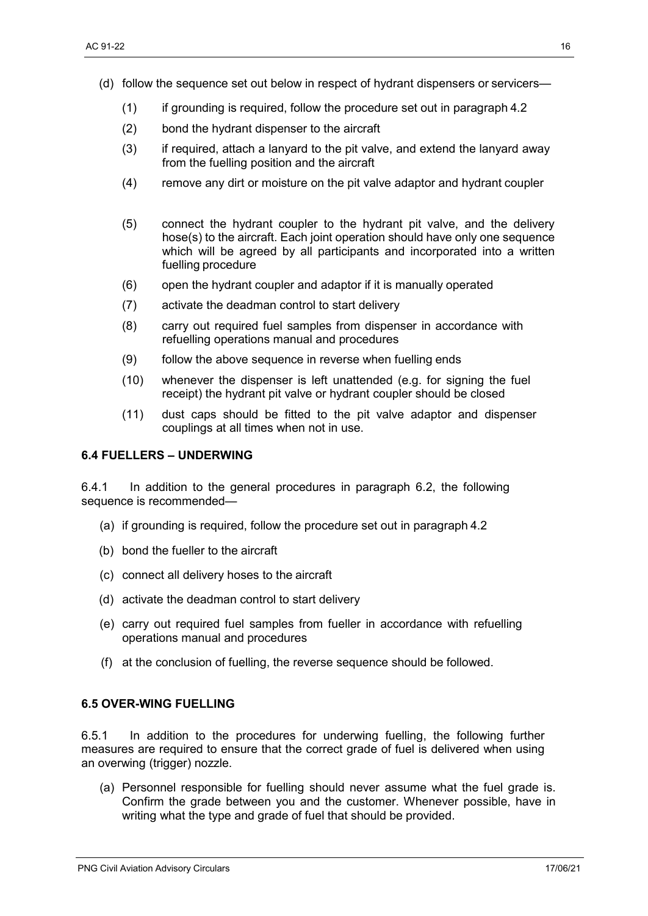- (d) follow the sequence set out below in respect of hydrant dispensers or servicers—
	- (1) if grounding is required, follow the procedure set out in paragraph 4.2
	- (2) bond the hydrant dispenser to the aircraft
	- (3) if required, attach a lanyard to the pit valve, and extend the lanyard away from the fuelling position and the aircraft
	- (4) remove any dirt or moisture on the pit valve adaptor and hydrant coupler
	- (5) connect the hydrant coupler to the hydrant pit valve, and the delivery hose(s) to the aircraft. Each joint operation should have only one sequence which will be agreed by all participants and incorporated into a written fuelling procedure
	- (6) open the hydrant coupler and adaptor if it is manually operated
	- (7) activate the deadman control to start delivery
	- (8) carry out required fuel samples from dispenser in accordance with refuelling operations manual and procedures
	- (9) follow the above sequence in reverse when fuelling ends
	- (10) whenever the dispenser is left unattended (e.g. for signing the fuel receipt) the hydrant pit valve or hydrant coupler should be closed
	- (11) dust caps should be fitted to the pit valve adaptor and dispenser couplings at all times when not in use.

#### **6.4 FUELLERS – UNDERWING**

6.4.1 In addition to the general procedures in paragraph 6.2, the following sequence is recommended—

- (a) if grounding is required, follow the procedure set out in paragraph 4.2
- (b) bond the fueller to the aircraft
- (c) connect all delivery hoses to the aircraft
- (d) activate the deadman control to start delivery
- (e) carry out required fuel samples from fueller in accordance with refuelling operations manual and procedures
- (f) at the conclusion of fuelling, the reverse sequence should be followed.

#### **6.5 OVER-WING FUELLING**

6.5.1 In addition to the procedures for underwing fuelling, the following further measures are required to ensure that the correct grade of fuel is delivered when using an overwing (trigger) nozzle.

(a) Personnel responsible for fuelling should never assume what the fuel grade is. Confirm the grade between you and the customer. Whenever possible, have in writing what the type and grade of fuel that should be provided.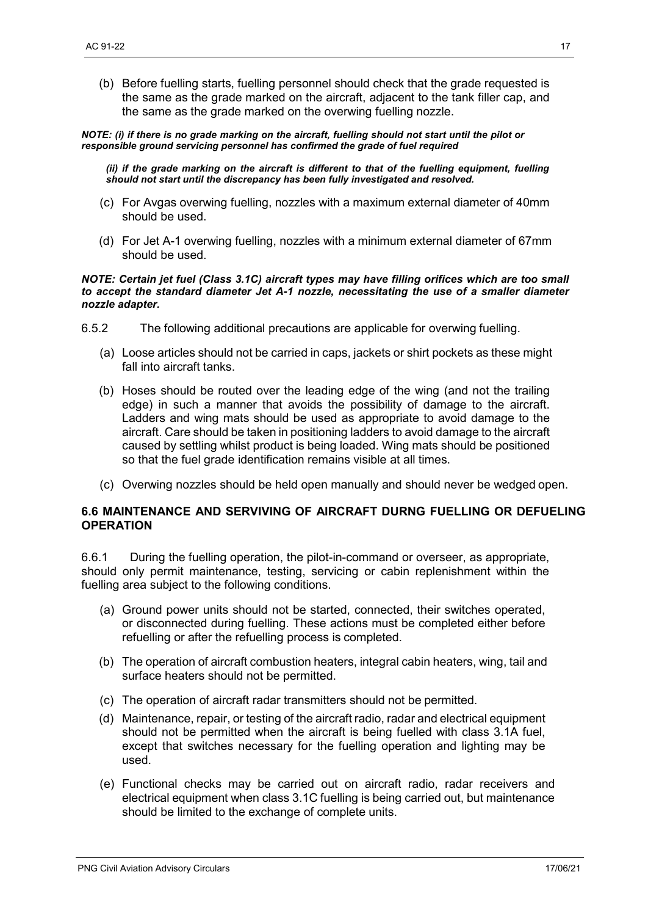(b) Before fuelling starts, fuelling personnel should check that the grade requested is the same as the grade marked on the aircraft, adjacent to the tank filler cap, and the same as the grade marked on the overwing fuelling nozzle.

#### *NOTE: (i) if there is no grade marking on the aircraft, fuelling should not start until the pilot or responsible ground servicing personnel has confirmed the grade of fuel required*

*(ii) if the grade marking on the aircraft is different to that of the fuelling equipment, fuelling should not start until the discrepancy has been fully investigated and resolved.*

- (c) For Avgas overwing fuelling, nozzles with a maximum external diameter of 40mm should be used.
- (d) For Jet A-1 overwing fuelling, nozzles with a minimum external diameter of 67mm should be used.

#### *NOTE: Certain jet fuel (Class 3.1C) aircraft types may have filling orifices which are too small to accept the standard diameter Jet A-1 nozzle, necessitating the use of a smaller diameter nozzle adapter.*

- 6.5.2 The following additional precautions are applicable for overwing fuelling.
	- (a) Loose articles should not be carried in caps, jackets or shirt pockets as these might fall into aircraft tanks.
	- (b) Hoses should be routed over the leading edge of the wing (and not the trailing edge) in such a manner that avoids the possibility of damage to the aircraft. Ladders and wing mats should be used as appropriate to avoid damage to the aircraft. Care should be taken in positioning ladders to avoid damage to the aircraft caused by settling whilst product is being loaded. Wing mats should be positioned so that the fuel grade identification remains visible at all times.
	- (c) Overwing nozzles should be held open manually and should never be wedged open.

#### **6.6 MAINTENANCE AND SERVIVING OF AIRCRAFT DURNG FUELLING OR DEFUELING OPERATION**

6.6.1 During the fuelling operation, the pilot-in-command or overseer, as appropriate, should only permit maintenance, testing, servicing or cabin replenishment within the fuelling area subject to the following conditions.

- (a) Ground power units should not be started, connected, their switches operated, or disconnected during fuelling. These actions must be completed either before refuelling or after the refuelling process is completed.
- (b) The operation of aircraft combustion heaters, integral cabin heaters, wing, tail and surface heaters should not be permitted.
- (c) The operation of aircraft radar transmitters should not be permitted.
- (d) Maintenance, repair, or testing of the aircraft radio, radar and electrical equipment should not be permitted when the aircraft is being fuelled with class 3.1A fuel, except that switches necessary for the fuelling operation and lighting may be used.
- (e) Functional checks may be carried out on aircraft radio, radar receivers and electrical equipment when class 3.1C fuelling is being carried out, but maintenance should be limited to the exchange of complete units.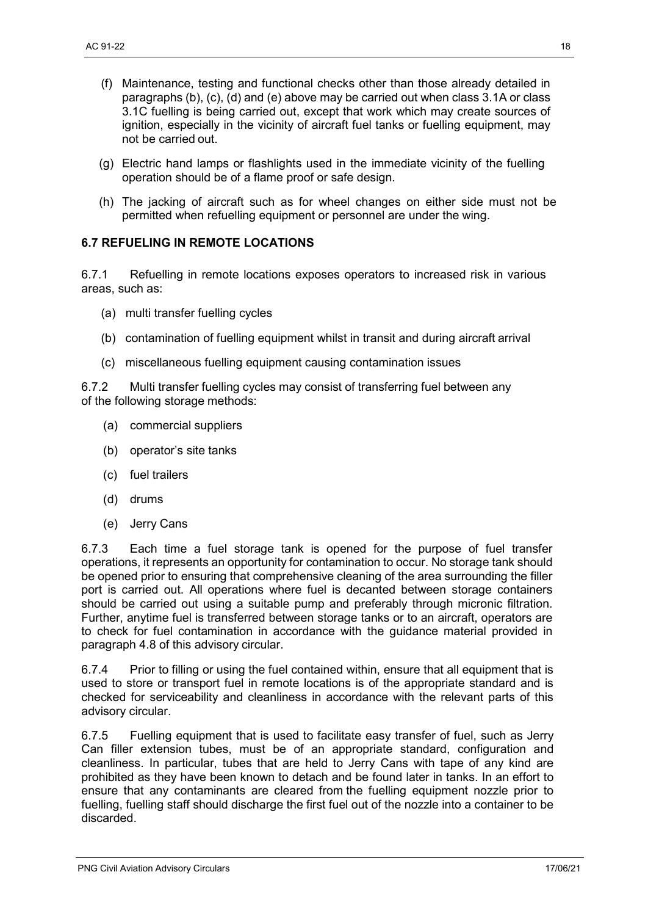- (f) Maintenance, testing and functional checks other than those already detailed in paragraphs (b), (c), (d) and (e) above may be carried out when class 3.1A or class 3.1C fuelling is being carried out, except that work which may create sources of ignition, especially in the vicinity of aircraft fuel tanks or fuelling equipment, may not be carried out.
- (g) Electric hand lamps or flashlights used in the immediate vicinity of the fuelling operation should be of a flame proof or safe design.
- (h) The jacking of aircraft such as for wheel changes on either side must not be permitted when refuelling equipment or personnel are under the wing.

#### **6.7 REFUELING IN REMOTE LOCATIONS**

6.7.1 Refuelling in remote locations exposes operators to increased risk in various areas, such as:

- (a) multi transfer fuelling cycles
- (b) contamination of fuelling equipment whilst in transit and during aircraft arrival
- (c) miscellaneous fuelling equipment causing contamination issues

6.7.2 Multi transfer fuelling cycles may consist of transferring fuel between any of the following storage methods:

- (a) commercial suppliers
- (b) operator's site tanks
- (c) fuel trailers
- (d) drums
- (e) Jerry Cans

6.7.3 Each time a fuel storage tank is opened for the purpose of fuel transfer operations, it represents an opportunity for contamination to occur. No storage tank should be opened prior to ensuring that comprehensive cleaning of the area surrounding the filler port is carried out. All operations where fuel is decanted between storage containers should be carried out using a suitable pump and preferably through micronic filtration. Further, anytime fuel is transferred between storage tanks or to an aircraft, operators are to check for fuel contamination in accordance with the guidance material provided in paragraph 4.8 of this advisory circular.

6.7.4 Prior to filling or using the fuel contained within, ensure that all equipment that is used to store or transport fuel in remote locations is of the appropriate standard and is checked for serviceability and cleanliness in accordance with the relevant parts of this advisory circular.

6.7.5 Fuelling equipment that is used to facilitate easy transfer of fuel, such as Jerry Can filler extension tubes, must be of an appropriate standard, configuration and cleanliness. In particular, tubes that are held to Jerry Cans with tape of any kind are prohibited as they have been known to detach and be found later in tanks. In an effort to ensure that any contaminants are cleared from the fuelling equipment nozzle prior to fuelling, fuelling staff should discharge the first fuel out of the nozzle into a container to be discarded.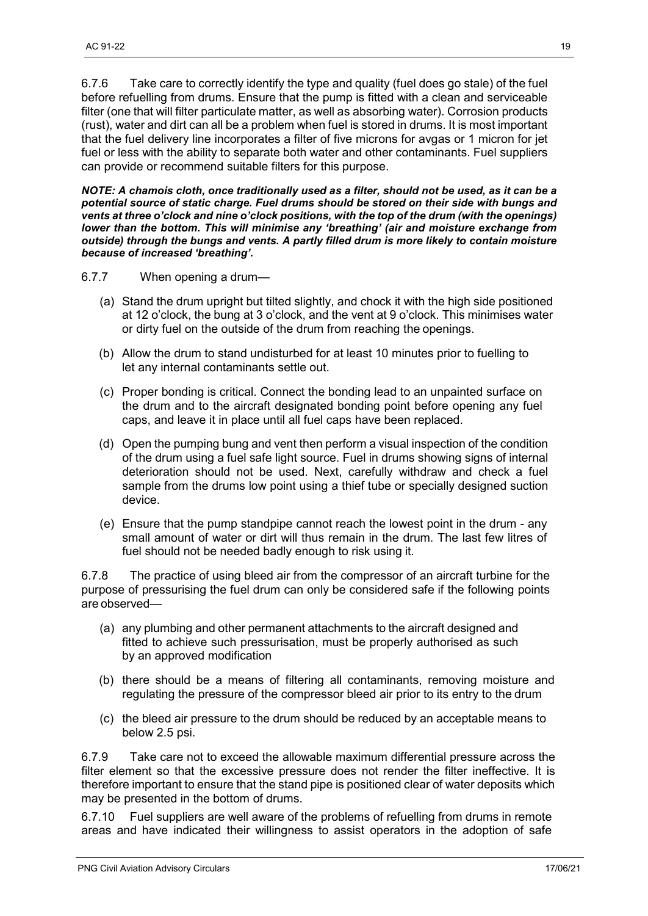6.7.6 Take care to correctly identify the type and quality (fuel does go stale) of the fuel before refuelling from drums. Ensure that the pump is fitted with a clean and serviceable filter (one that will filter particulate matter, as well as absorbing water). Corrosion products (rust), water and dirt can all be a problem when fuel is stored in drums. It is most important that the fuel delivery line incorporates a filter of five microns for avgas or 1 micron for jet fuel or less with the ability to separate both water and other contaminants. Fuel suppliers can provide or recommend suitable filters for this purpose.

*NOTE: A chamois cloth, once traditionally used as a filter, should not be used, as it can be a potential source of static charge. Fuel drums should be stored on their side with bungs and vents at three o'clock and nine o'clock positions, with the top of the drum (with the openings) lower than the bottom. This will minimise any 'breathing' (air and moisture exchange from outside) through the bungs and vents. A partly filled drum is more likely to contain moisture because of increased 'breathing'.*

- 6.7.7 When opening a drum—
	- (a) Stand the drum upright but tilted slightly, and chock it with the high side positioned at 12 o'clock, the bung at 3 o'clock, and the vent at 9 o'clock. This minimises water or dirty fuel on the outside of the drum from reaching the openings.
	- (b) Allow the drum to stand undisturbed for at least 10 minutes prior to fuelling to let any internal contaminants settle out.
	- (c) Proper bonding is critical. Connect the bonding lead to an unpainted surface on the drum and to the aircraft designated bonding point before opening any fuel caps, and leave it in place until all fuel caps have been replaced.
	- (d) Open the pumping bung and vent then perform a visual inspection of the condition of the drum using a fuel safe light source. Fuel in drums showing signs of internal deterioration should not be used. Next, carefully withdraw and check a fuel sample from the drums low point using a thief tube or specially designed suction device.
	- (e) Ensure that the pump standpipe cannot reach the lowest point in the drum any small amount of water or dirt will thus remain in the drum. The last few litres of fuel should not be needed badly enough to risk using it.

6.7.8 The practice of using bleed air from the compressor of an aircraft turbine for the purpose of pressurising the fuel drum can only be considered safe if the following points are observed—

- (a) any plumbing and other permanent attachments to the aircraft designed and fitted to achieve such pressurisation, must be properly authorised as such by an approved modification
- (b) there should be a means of filtering all contaminants, removing moisture and regulating the pressure of the compressor bleed air prior to its entry to the drum
- (c) the bleed air pressure to the drum should be reduced by an acceptable means to below 2.5 psi.

6.7.9 Take care not to exceed the allowable maximum differential pressure across the filter element so that the excessive pressure does not render the filter ineffective. It is therefore important to ensure that the stand pipe is positioned clear of water deposits which may be presented in the bottom of drums.

6.7.10 Fuel suppliers are well aware of the problems of refuelling from drums in remote areas and have indicated their willingness to assist operators in the adoption of safe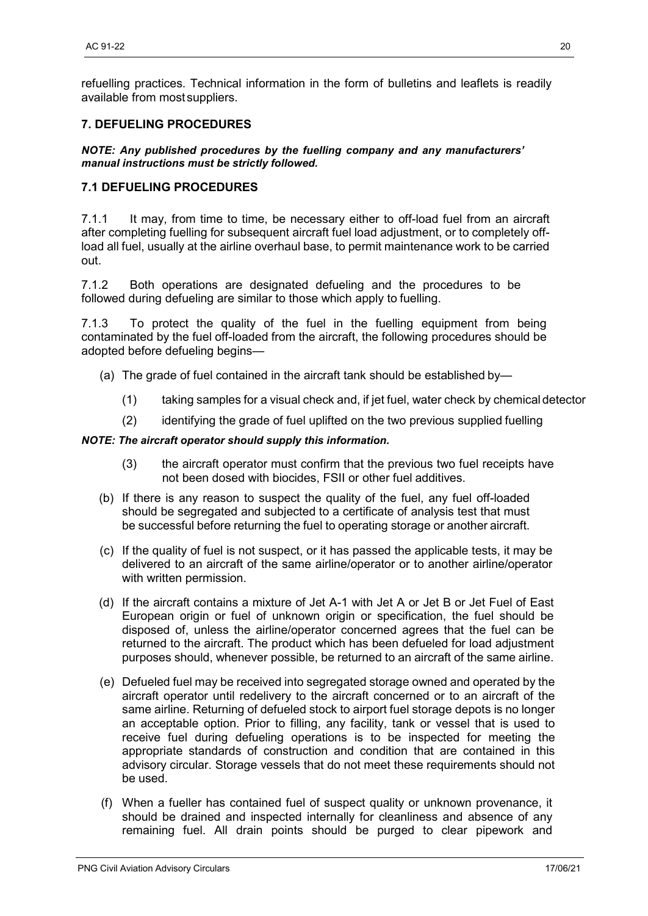refuelling practices. Technical information in the form of bulletins and leaflets is readily available from most suppliers.

## <span id="page-20-0"></span>**7. DEFUELING PROCEDURES**

*NOTE: Any published procedures by the fuelling company and any manufacturers' manual instructions must be strictly followed.*

## **7.1 DEFUELING PROCEDURES**

7.1.1 It may, from time to time, be necessary either to off-load fuel from an aircraft after completing fuelling for subsequent aircraft fuel load adjustment, or to completely offload all fuel, usually at the airline overhaul base, to permit maintenance work to be carried out.

7.1.2 Both operations are designated defueling and the procedures to be followed during defueling are similar to those which apply to fuelling.

7.1.3 To protect the quality of the fuel in the fuelling equipment from being contaminated by the fuel off-loaded from the aircraft, the following procedures should be adopted before defueling begins—

- (a) The grade of fuel contained in the aircraft tank should be established by—
	- (1) taking samples for a visual check and, if jet fuel, water check by chemical detector
	- (2) identifying the grade of fuel uplifted on the two previous supplied fuelling

#### *NOTE: The aircraft operator should supply this information.*

- (3) the aircraft operator must confirm that the previous two fuel receipts have not been dosed with biocides, FSII or other fuel additives.
- (b) If there is any reason to suspect the quality of the fuel, any fuel off-loaded should be segregated and subjected to a certificate of analysis test that must be successful before returning the fuel to operating storage or another aircraft.
- (c) If the quality of fuel is not suspect, or it has passed the applicable tests, it may be delivered to an aircraft of the same airline/operator or to another airline/operator with written permission.
- (d) If the aircraft contains a mixture of Jet A-1 with Jet A or Jet B or Jet Fuel of East European origin or fuel of unknown origin or specification, the fuel should be disposed of, unless the airline/operator concerned agrees that the fuel can be returned to the aircraft. The product which has been defueled for load adjustment purposes should, whenever possible, be returned to an aircraft of the same airline.
- (e) Defueled fuel may be received into segregated storage owned and operated by the aircraft operator until redelivery to the aircraft concerned or to an aircraft of the same airline. Returning of defueled stock to airport fuel storage depots is no longer an acceptable option. Prior to filling, any facility, tank or vessel that is used to receive fuel during defueling operations is to be inspected for meeting the appropriate standards of construction and condition that are contained in this advisory circular. Storage vessels that do not meet these requirements should not be used.
- (f) When a fueller has contained fuel of suspect quality or unknown provenance, it should be drained and inspected internally for cleanliness and absence of any remaining fuel. All drain points should be purged to clear pipework and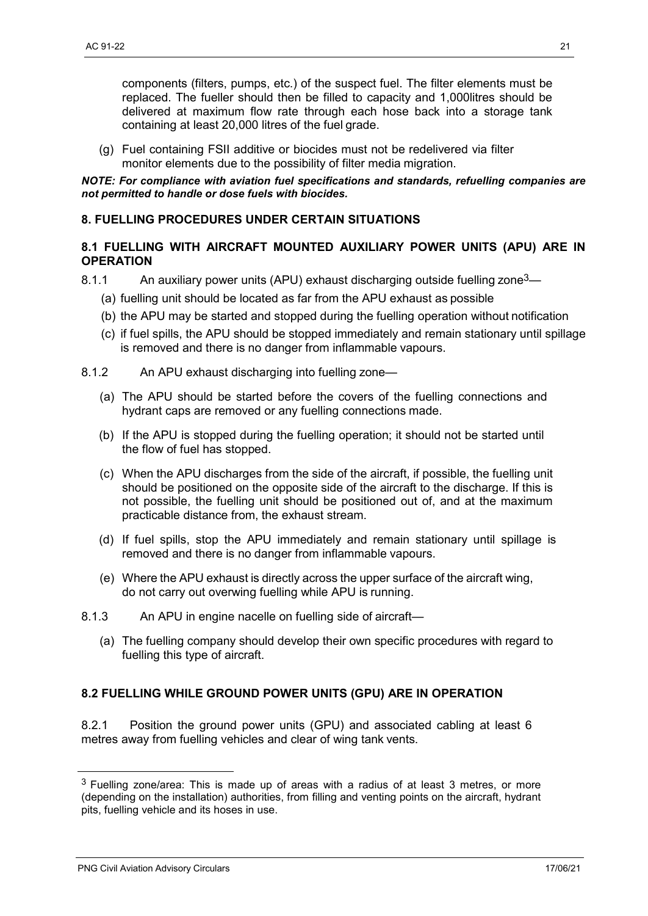components (filters, pumps, etc.) of the suspect fuel. The filter elements must be replaced. The fueller should then be filled to capacity and 1,000litres should be delivered at maximum flow rate through each hose back into a storage tank containing at least 20,000 litres of the fuel grade.

(g) Fuel containing FSII additive or biocides must not be redelivered via filter monitor elements due to the possibility of filter media migration.

#### *NOTE: For compliance with aviation fuel specifications and standards, refuelling companies are not permitted to handle or dose fuels with biocides.*

#### <span id="page-21-0"></span>**8. FUELLING PROCEDURES UNDER CERTAIN SITUATIONS**

#### **8.1 FUELLING WITH AIRCRAFT MOUNTED AUXILIARY POWER UNITS (APU) ARE IN OPERATION**

- 8.1.1 An auxiliary power units (APU) exhaust discharging outside fuelling zone<sup>3</sup>—
	- (a) fuelling unit should be located as far from the APU exhaust as possible
	- (b) the APU may be started and stopped during the fuelling operation without notification
	- (c) if fuel spills, the APU should be stopped immediately and remain stationary until spillage is removed and there is no danger from inflammable vapours.
- 8.1.2 An APU exhaust discharging into fuelling zone—
	- (a) The APU should be started before the covers of the fuelling connections and hydrant caps are removed or any fuelling connections made.
	- (b) If the APU is stopped during the fuelling operation; it should not be started until the flow of fuel has stopped.
	- (c) When the APU discharges from the side of the aircraft, if possible, the fuelling unit should be positioned on the opposite side of the aircraft to the discharge. If this is not possible, the fuelling unit should be positioned out of, and at the maximum practicable distance from, the exhaust stream.
	- (d) If fuel spills, stop the APU immediately and remain stationary until spillage is removed and there is no danger from inflammable vapours.
	- (e) Where the APU exhaust is directly across the upper surface of the aircraft wing, do not carry out overwing fuelling while APU is running.
- 8.1.3 An APU in engine nacelle on fuelling side of aircraft—
	- (a) The fuelling company should develop their own specific procedures with regard to fuelling this type of aircraft.

#### **8.2 FUELLING WHILE GROUND POWER UNITS (GPU) ARE IN OPERATION**

8.2.1 Position the ground power units (GPU) and associated cabling at least 6 metres away from fuelling vehicles and clear of wing tank vents.

 $3$  Fuelling zone/area: This is made up of areas with a radius of at least 3 metres, or more (depending on the installation) authorities, from filling and venting points on the aircraft, hydrant pits, fuelling vehicle and its hoses in use.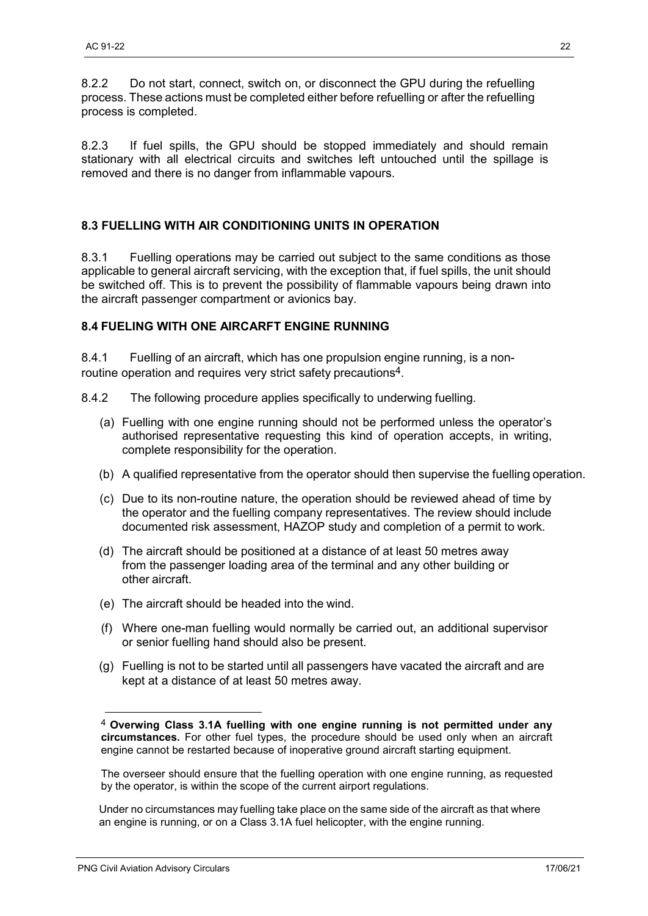8.2.2 Do not start, connect, switch on, or disconnect the GPU during the refuelling process. These actions must be completed either before refuelling or after the refuelling process is completed.

8.2.3 If fuel spills, the GPU should be stopped immediately and should remain stationary with all electrical circuits and switches left untouched until the spillage is removed and there is no danger from inflammable vapours.

## **8.3 FUELLING WITH AIR CONDITIONING UNITS IN OPERATION**

8.3.1 Fuelling operations may be carried out subject to the same conditions as those applicable to general aircraft servicing, with the exception that, if fuel spills, the unit should be switched off. This is to prevent the possibility of flammable vapours being drawn into the aircraft passenger compartment or avionics bay.

#### **8.4 FUELING WITH ONE AIRCARFT ENGINE RUNNING**

8.4.1 Fuelling of an aircraft, which has one propulsion engine running, is a nonroutine operation and requires very strict safety precautions4.

- 8.4.2 The following procedure applies specifically to underwing fuelling.
	- (a) Fuelling with one engine running should not be performed unless the operator's authorised representative requesting this kind of operation accepts, in writing, complete responsibility for the operation.
	- (b) A qualified representative from the operator should then supervise the fuelling operation.
	- (c) Due to its non-routine nature, the operation should be reviewed ahead of time by the operator and the fuelling company representatives. The review should include documented risk assessment, HAZOP study and completion of a permit to work.
	- (d) The aircraft should be positioned at a distance of at least 50 metres away from the passenger loading area of the terminal and any other building or other aircraft.
	- (e) The aircraft should be headed into the wind.
	- (f) Where one-man fuelling would normally be carried out, an additional supervisor or senior fuelling hand should also be present.
	- (g) Fuelling is not to be started until all passengers have vacated the aircraft and are kept at a distance of at least 50 metres away.

Under no circumstances may fuelling take place on the same side of the aircraft as that where an engine is running, or on a Class 3.1A fuel helicopter, with the engine running.

<sup>4</sup> **Overwing Class 3.1A fuelling with one engine running is not permitted under any circumstances.** For other fuel types, the procedure should be used only when an aircraft engine cannot be restarted because of inoperative ground aircraft starting equipment.

The overseer should ensure that the fuelling operation with one engine running, as requested by the operator, is within the scope of the current airport regulations.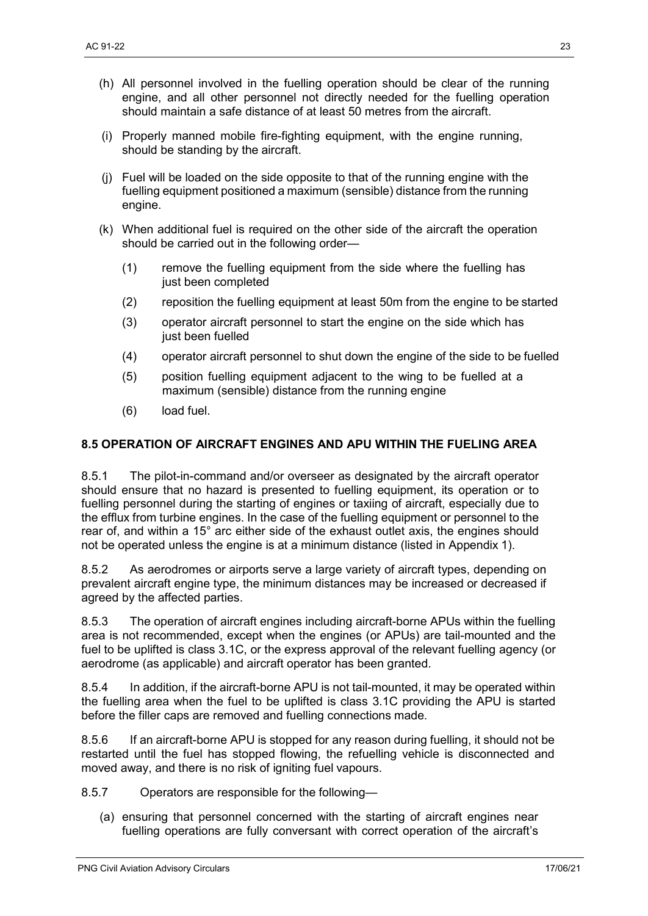- (h) All personnel involved in the fuelling operation should be clear of the running engine, and all other personnel not directly needed for the fuelling operation should maintain a safe distance of at least 50 metres from the aircraft.
- (i) Properly manned mobile fire-fighting equipment, with the engine running, should be standing by the aircraft.
- (j) Fuel will be loaded on the side opposite to that of the running engine with the fuelling equipment positioned a maximum (sensible) distance from the running engine.
- (k) When additional fuel is required on the other side of the aircraft the operation should be carried out in the following order—
	- (1) remove the fuelling equipment from the side where the fuelling has just been completed
	- (2) reposition the fuelling equipment at least 50m from the engine to be started
	- (3) operator aircraft personnel to start the engine on the side which has just been fuelled
	- (4) operator aircraft personnel to shut down the engine of the side to be fuelled
	- (5) position fuelling equipment adjacent to the wing to be fuelled at a maximum (sensible) distance from the running engine
	- (6) load fuel.

#### **8.5 OPERATION OF AIRCRAFT ENGINES AND APU WITHIN THE FUELING AREA**

8.5.1 The pilot-in-command and/or overseer as designated by the aircraft operator should ensure that no hazard is presented to fuelling equipment, its operation or to fuelling personnel during the starting of engines or taxiing of aircraft, especially due to the efflux from turbine engines. In the case of the fuelling equipment or personnel to the rear of, and within a 15° arc either side of the exhaust outlet axis, the engines should not be operated unless the engine is at a minimum distance (listed in Appendix 1).

8.5.2 As aerodromes or airports serve a large variety of aircraft types, depending on prevalent aircraft engine type, the minimum distances may be increased or decreased if agreed by the affected parties.

8.5.3 The operation of aircraft engines including aircraft-borne APUs within the fuelling area is not recommended, except when the engines (or APUs) are tail-mounted and the fuel to be uplifted is class 3.1C, or the express approval of the relevant fuelling agency (or aerodrome (as applicable) and aircraft operator has been granted.

8.5.4 In addition, if the aircraft-borne APU is not tail-mounted, it may be operated within the fuelling area when the fuel to be uplifted is class 3.1C providing the APU is started before the filler caps are removed and fuelling connections made.

8.5.6 If an aircraft-borne APU is stopped for any reason during fuelling, it should not be restarted until the fuel has stopped flowing, the refuelling vehicle is disconnected and moved away, and there is no risk of igniting fuel vapours.

8.5.7 Operators are responsible for the following—

(a) ensuring that personnel concerned with the starting of aircraft engines near fuelling operations are fully conversant with correct operation of the aircraft's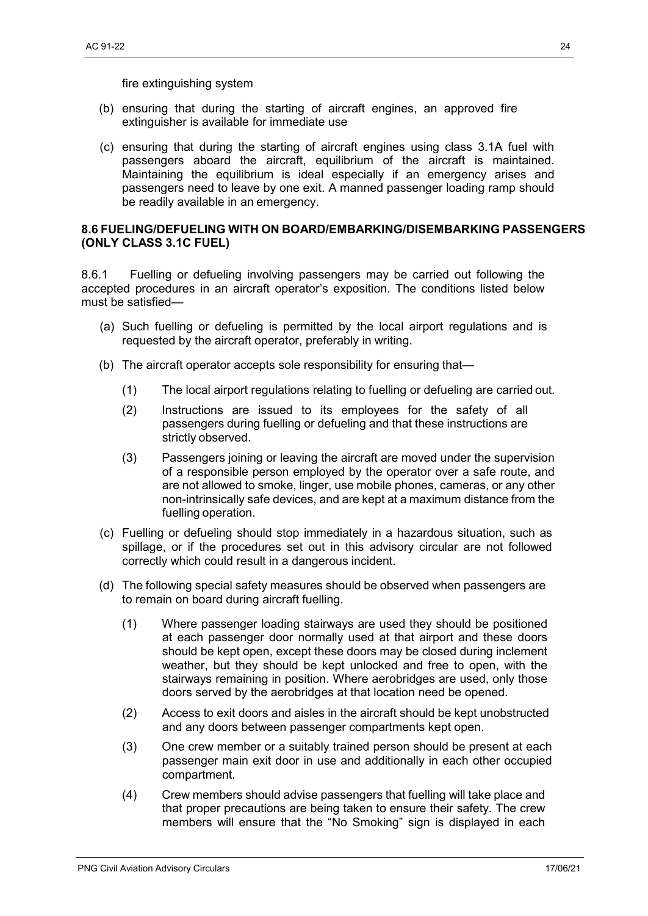fire extinguishing system

- (b) ensuring that during the starting of aircraft engines, an approved fire extinguisher is available for immediate use
- (c) ensuring that during the starting of aircraft engines using class 3.1A fuel with passengers aboard the aircraft, equilibrium of the aircraft is maintained. Maintaining the equilibrium is ideal especially if an emergency arises and passengers need to leave by one exit. A manned passenger loading ramp should be readily available in an emergency.

#### **8.6 FUELING/DEFUELING WITH ON BOARD/EMBARKING/DISEMBARKING PASSENGERS (ONLY CLASS 3.1C FUEL)**

8.6.1 Fuelling or defueling involving passengers may be carried out following the accepted procedures in an aircraft operator's exposition. The conditions listed below must be satisfied—

- (a) Such fuelling or defueling is permitted by the local airport regulations and is requested by the aircraft operator, preferably in writing.
- (b) The aircraft operator accepts sole responsibility for ensuring that—
	- (1) The local airport regulations relating to fuelling or defueling are carried out.
	- (2) Instructions are issued to its employees for the safety of all passengers during fuelling or defueling and that these instructions are strictly observed.
	- (3) Passengers joining or leaving the aircraft are moved under the supervision of a responsible person employed by the operator over a safe route, and are not allowed to smoke, linger, use mobile phones, cameras, or any other non-intrinsically safe devices, and are kept at a maximum distance from the fuelling operation.
- (c) Fuelling or defueling should stop immediately in a hazardous situation, such as spillage, or if the procedures set out in this advisory circular are not followed correctly which could result in a dangerous incident.
- (d) The following special safety measures should be observed when passengers are to remain on board during aircraft fuelling.
	- (1) Where passenger loading stairways are used they should be positioned at each passenger door normally used at that airport and these doors should be kept open, except these doors may be closed during inclement weather, but they should be kept unlocked and free to open, with the stairways remaining in position. Where aerobridges are used, only those doors served by the aerobridges at that location need be opened.
	- (2) Access to exit doors and aisles in the aircraft should be kept unobstructed and any doors between passenger compartments kept open.
	- (3) One crew member or a suitably trained person should be present at each passenger main exit door in use and additionally in each other occupied compartment.
	- (4) Crew members should advise passengers that fuelling will take place and that proper precautions are being taken to ensure their safety. The crew members will ensure that the "No Smoking" sign is displayed in each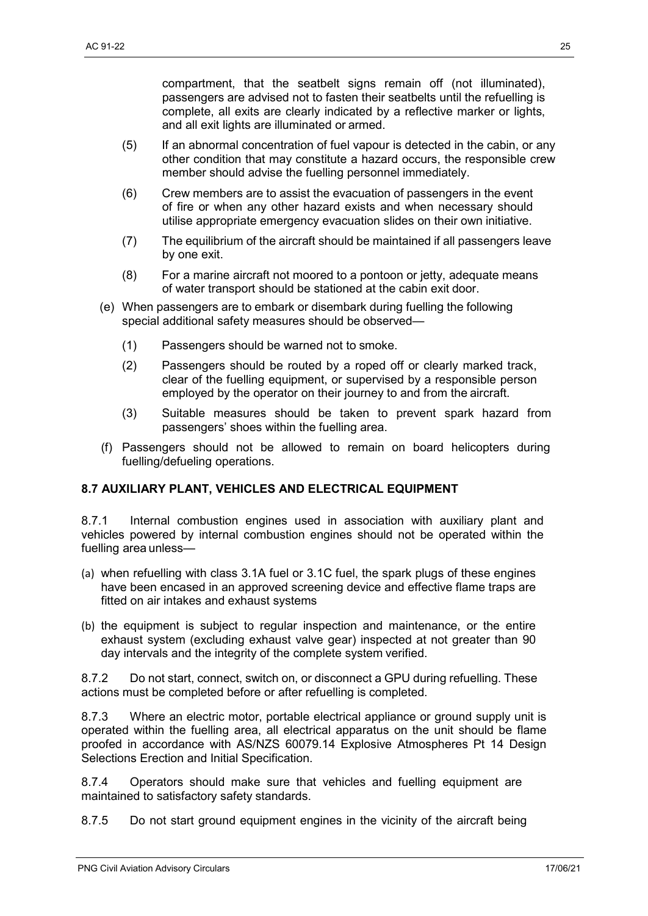compartment, that the seatbelt signs remain off (not illuminated), passengers are advised not to fasten their seatbelts until the refuelling is complete, all exits are clearly indicated by a reflective marker or lights, and all exit lights are illuminated or armed.

- (5) If an abnormal concentration of fuel vapour is detected in the cabin, or any other condition that may constitute a hazard occurs, the responsible crew member should advise the fuelling personnel immediately.
- (6) Crew members are to assist the evacuation of passengers in the event of fire or when any other hazard exists and when necessary should utilise appropriate emergency evacuation slides on their own initiative.
- (7) The equilibrium of the aircraft should be maintained if all passengers leave by one exit.
- (8) For a marine aircraft not moored to a pontoon or jetty, adequate means of water transport should be stationed at the cabin exit door.
- (e) When passengers are to embark or disembark during fuelling the following special additional safety measures should be observed—
	- (1) Passengers should be warned not to smoke.
	- (2) Passengers should be routed by a roped off or clearly marked track, clear of the fuelling equipment, or supervised by a responsible person employed by the operator on their journey to and from the aircraft.
	- (3) Suitable measures should be taken to prevent spark hazard from passengers' shoes within the fuelling area.
- (f) Passengers should not be allowed to remain on board helicopters during fuelling/defueling operations.

#### **8.7 AUXILIARY PLANT, VEHICLES AND ELECTRICAL EQUIPMENT**

8.7.1 Internal combustion engines used in association with auxiliary plant and vehicles powered by internal combustion engines should not be operated within the fuelling area unless—

- (a) when refuelling with class 3.1A fuel or 3.1C fuel, the spark plugs of these engines have been encased in an approved screening device and effective flame traps are fitted on air intakes and exhaust systems
- (b) the equipment is subject to regular inspection and maintenance, or the entire exhaust system (excluding exhaust valve gear) inspected at not greater than 90 day intervals and the integrity of the complete system verified.

8.7.2 Do not start, connect, switch on, or disconnect a GPU during refuelling. These actions must be completed before or after refuelling is completed.

8.7.3 Where an electric motor, portable electrical appliance or ground supply unit is operated within the fuelling area, all electrical apparatus on the unit should be flame proofed in accordance with AS/NZS 60079.14 Explosive Atmospheres Pt 14 Design Selections Erection and Initial Specification.

8.7.4 Operators should make sure that vehicles and fuelling equipment are maintained to satisfactory safety standards.

8.7.5 Do not start ground equipment engines in the vicinity of the aircraft being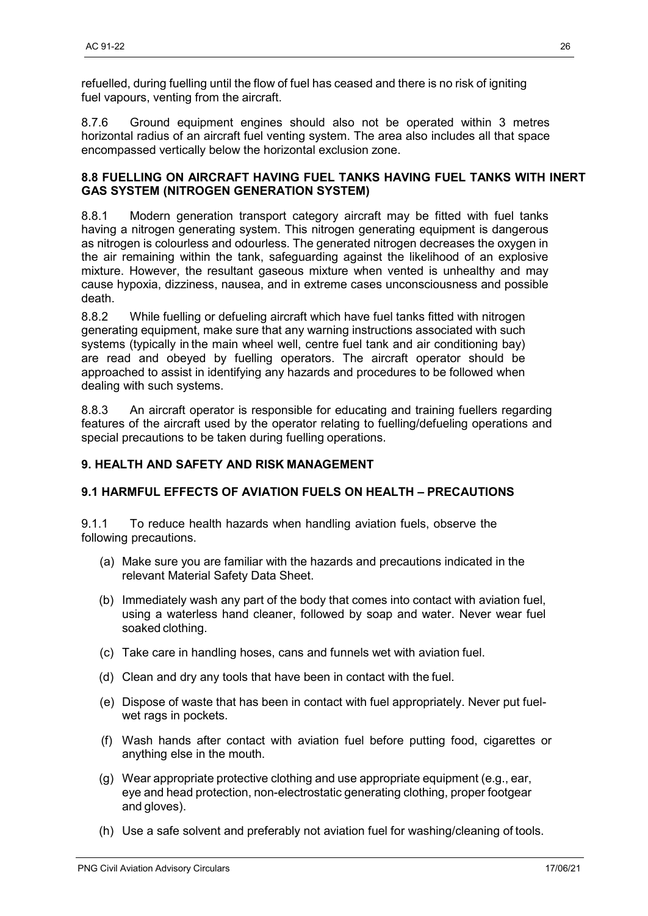refuelled, during fuelling until the flow of fuel has ceased and there is no risk of igniting fuel vapours, venting from the aircraft.

8.7.6 Ground equipment engines should also not be operated within 3 metres horizontal radius of an aircraft fuel venting system. The area also includes all that space encompassed vertically below the horizontal exclusion zone.

#### **8.8 FUELLING ON AIRCRAFT HAVING FUEL TANKS HAVING FUEL TANKS WITH INERT GAS SYSTEM (NITROGEN GENERATION SYSTEM)**

8.8.1 Modern generation transport category aircraft may be fitted with fuel tanks having a nitrogen generating system. This nitrogen generating equipment is dangerous as nitrogen is colourless and odourless. The generated nitrogen decreases the oxygen in the air remaining within the tank, safeguarding against the likelihood of an explosive mixture. However, the resultant gaseous mixture when vented is unhealthy and may cause hypoxia, dizziness, nausea, and in extreme cases unconsciousness and possible death.

8.8.2 While fuelling or defueling aircraft which have fuel tanks fitted with nitrogen generating equipment, make sure that any warning instructions associated with such systems (typically in the main wheel well, centre fuel tank and air conditioning bay) are read and obeyed by fuelling operators. The aircraft operator should be approached to assist in identifying any hazards and procedures to be followed when dealing with such systems.

8.8.3 An aircraft operator is responsible for educating and training fuellers regarding features of the aircraft used by the operator relating to fuelling/defueling operations and special precautions to be taken during fuelling operations.

## <span id="page-26-0"></span>**9. HEALTH AND SAFETY AND RISK MANAGEMENT**

#### **9.1 HARMFUL EFFECTS OF AVIATION FUELS ON HEALTH – PRECAUTIONS**

9.1.1 To reduce health hazards when handling aviation fuels, observe the following precautions.

- (a) Make sure you are familiar with the hazards and precautions indicated in the relevant Material Safety Data Sheet.
- (b) Immediately wash any part of the body that comes into contact with aviation fuel, using a waterless hand cleaner, followed by soap and water. Never wear fuel soaked clothing.
- (c) Take care in handling hoses, cans and funnels wet with aviation fuel.
- (d) Clean and dry any tools that have been in contact with the fuel.
- (e) Dispose of waste that has been in contact with fuel appropriately. Never put fuelwet rags in pockets.
- (f) Wash hands after contact with aviation fuel before putting food, cigarettes or anything else in the mouth.
- (g) Wear appropriate protective clothing and use appropriate equipment (e.g., ear, eye and head protection, non-electrostatic generating clothing, proper footgear and gloves).
- (h) Use a safe solvent and preferably not aviation fuel for washing/cleaning of tools.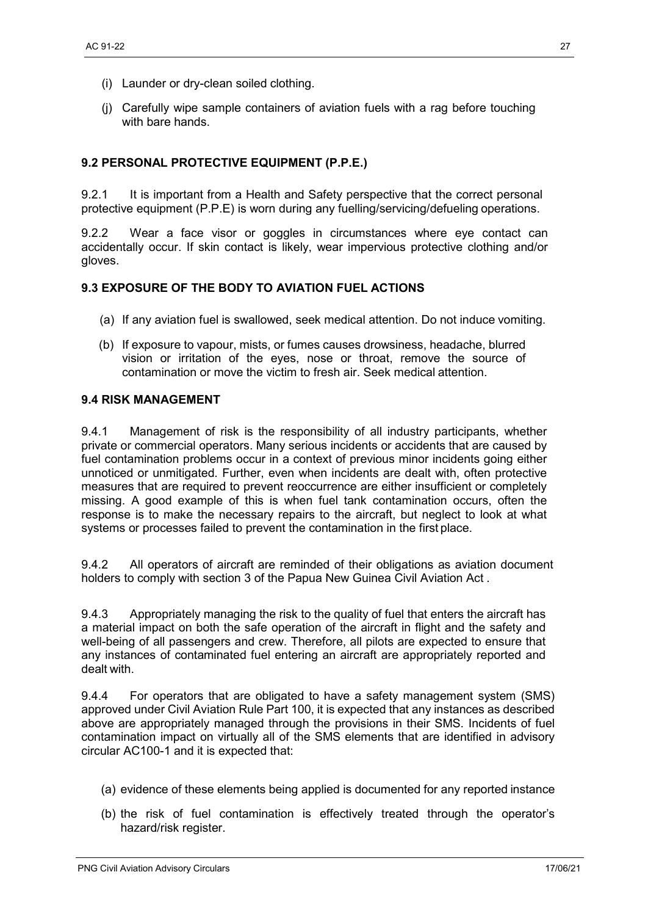- (i) Launder or dry-clean soiled clothing.
- (j) Carefully wipe sample containers of aviation fuels with a rag before touching with bare hands.

## **9.2 PERSONAL PROTECTIVE EQUIPMENT (P.P.E.)**

9.2.1 It is important from a Health and Safety perspective that the correct personal protective equipment (P.P.E) is worn during any fuelling/servicing/defueling operations.

9.2.2 Wear a face visor or goggles in circumstances where eye contact can accidentally occur. If skin contact is likely, wear impervious protective clothing and/or gloves.

#### **9.3 EXPOSURE OF THE BODY TO AVIATION FUEL ACTIONS**

- (a) If any aviation fuel is swallowed, seek medical attention. Do not induce vomiting.
- (b) If exposure to vapour, mists, or fumes causes drowsiness, headache, blurred vision or irritation of the eyes, nose or throat, remove the source of contamination or move the victim to fresh air. Seek medical attention.

#### **9.4 RISK MANAGEMENT**

9.4.1 Management of risk is the responsibility of all industry participants, whether private or commercial operators. Many serious incidents or accidents that are caused by fuel contamination problems occur in a context of previous minor incidents going either unnoticed or unmitigated. Further, even when incidents are dealt with, often protective measures that are required to prevent reoccurrence are either insufficient or completely missing. A good example of this is when fuel tank contamination occurs, often the response is to make the necessary repairs to the aircraft, but neglect to look at what systems or processes failed to prevent the contamination in the first place.

9.4.2 All operators of aircraft are reminded of their obligations as aviation document holders to comply with section 3 of the Papua New Guinea Civil Aviation Act .

9.4.3 Appropriately managing the risk to the quality of fuel that enters the aircraft has a material impact on both the safe operation of the aircraft in flight and the safety and well-being of all passengers and crew. Therefore, all pilots are expected to ensure that any instances of contaminated fuel entering an aircraft are appropriately reported and dealt with.

9.4.4 For operators that are obligated to have a safety management system (SMS) approved under Civil Aviation Rule Part 100, it is expected that any instances as described above are appropriately managed through the provisions in their SMS. Incidents of fuel contamination impact on virtually all of the SMS elements that are identified in advisory circular AC100-1 and it is expected that:

- (a) evidence of these elements being applied is documented for any reported instance
- (b) the risk of fuel contamination is effectively treated through the operator's hazard/risk register.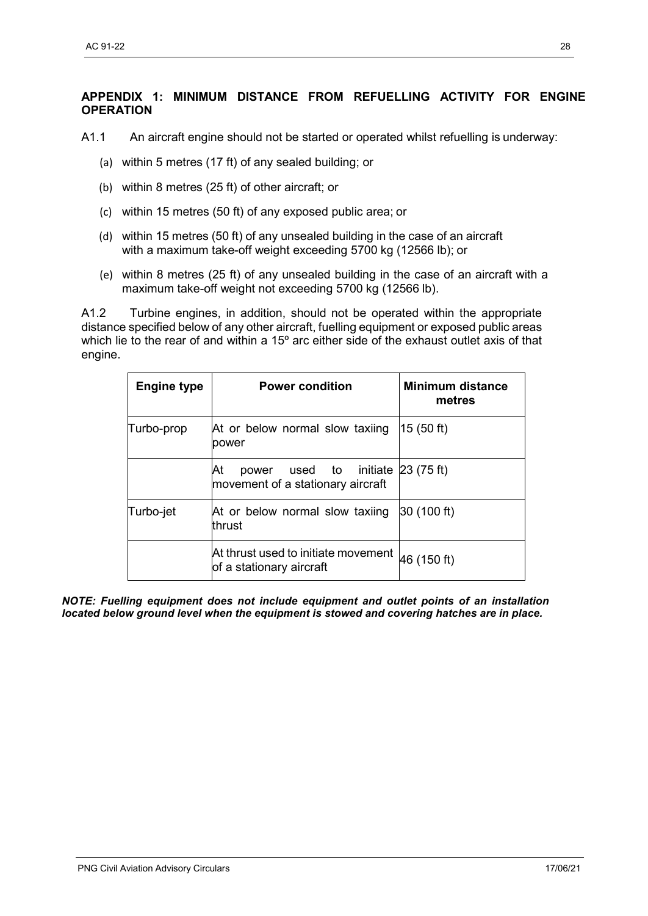## **APPENDIX 1: MINIMUM DISTANCE FROM REFUELLING ACTIVITY FOR ENGINE OPERATION**

- A1.1 An aircraft engine should not be started or operated whilst refuelling is underway:
	- (a) within 5 metres (17 ft) of any sealed building; or
	- (b) within 8 metres (25 ft) of other aircraft; or
	- (c) within 15 metres (50 ft) of any exposed public area; or
	- (d) within 15 metres (50 ft) of any unsealed building in the case of an aircraft with a maximum take-off weight exceeding 5700 kg (12566 lb); or
	- (e) within 8 metres (25 ft) of any unsealed building in the case of an aircraft with a maximum take-off weight not exceeding 5700 kg (12566 lb).

A1.2 Turbine engines, in addition, should not be operated within the appropriate distance specified below of any other aircraft, fuelling equipment or exposed public areas which lie to the rear of and within a 15<sup>°</sup> arc either side of the exhaust outlet axis of that engine.

| <b>Engine type</b> | <b>Power condition</b>                                                                | <b>Minimum distance</b><br>metres |
|--------------------|---------------------------------------------------------------------------------------|-----------------------------------|
| Turbo-prop         | At or below normal slow taxiing<br>power                                              | 15(50 ft)                         |
|                    | power used to initiate $23(75 \text{ ft})$<br>Αt<br>movement of a stationary aircraft |                                   |
| Turbo-jet          | At or below normal slow taxiing<br>thrust                                             | $ 30 \ (100 \text{ ft})$          |
|                    | At thrust used to initiate movement<br>of a stationary aircraft                       | 46 (150 ft)                       |

*NOTE: Fuelling equipment does not include equipment and outlet points of an installation located below ground level when the equipment is stowed and covering hatches are in place.*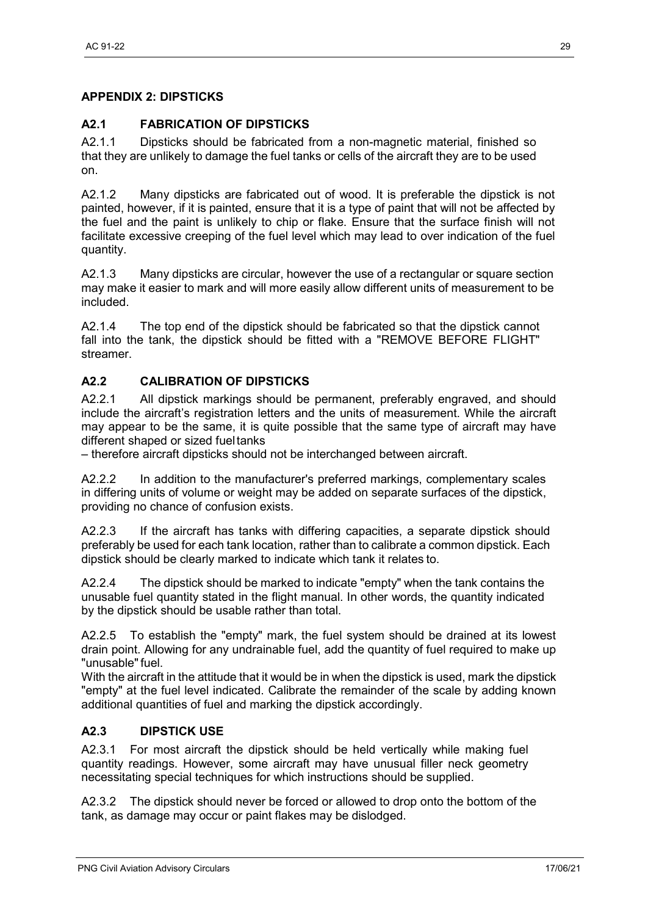## <span id="page-29-0"></span>**APPENDIX 2: DIPSTICKS**

#### **A2.1 FABRICATION OF DIPSTICKS**

A2.1.1 Dipsticks should be fabricated from a non-magnetic material, finished so that they are unlikely to damage the fuel tanks or cells of the aircraft they are to be used on.

A2.1.2 Many dipsticks are fabricated out of wood. It is preferable the dipstick is not painted, however, if it is painted, ensure that it is a type of paint that will not be affected by the fuel and the paint is unlikely to chip or flake. Ensure that the surface finish will not facilitate excessive creeping of the fuel level which may lead to over indication of the fuel quantity.

A2.1.3 Many dipsticks are circular, however the use of a rectangular or square section may make it easier to mark and will more easily allow different units of measurement to be included.

A2.1.4 The top end of the dipstick should be fabricated so that the dipstick cannot fall into the tank, the dipstick should be fitted with a "REMOVE BEFORE FLIGHT" streamer.

## **A2.2 CALIBRATION OF DIPSTICKS**

A2.2.1 All dipstick markings should be permanent, preferably engraved, and should include the aircraft's registration letters and the units of measurement. While the aircraft may appear to be the same, it is quite possible that the same type of aircraft may have different shaped or sized fueltanks

– therefore aircraft dipsticks should not be interchanged between aircraft.

A2.2.2 In addition to the manufacturer's preferred markings, complementary scales in differing units of volume or weight may be added on separate surfaces of the dipstick, providing no chance of confusion exists.

A2.2.3 If the aircraft has tanks with differing capacities, a separate dipstick should preferably be used for each tank location, rather than to calibrate a common dipstick. Each dipstick should be clearly marked to indicate which tank it relates to.

A2.2.4 The dipstick should be marked to indicate "empty" when the tank contains the unusable fuel quantity stated in the flight manual. In other words, the quantity indicated by the dipstick should be usable rather than total.

A2.2.5 To establish the "empty" mark, the fuel system should be drained at its lowest drain point. Allowing for any undrainable fuel, add the quantity of fuel required to make up "unusable"fuel.

With the aircraft in the attitude that it would be in when the dipstick is used, mark the dipstick "empty" at the fuel level indicated. Calibrate the remainder of the scale by adding known additional quantities of fuel and marking the dipstick accordingly.

#### **A2.3 DIPSTICK USE**

A2.3.1 For most aircraft the dipstick should be held vertically while making fuel quantity readings. However, some aircraft may have unusual filler neck geometry necessitating special techniques for which instructions should be supplied.

A2.3.2 The dipstick should never be forced or allowed to drop onto the bottom of the tank, as damage may occur or paint flakes may be dislodged.